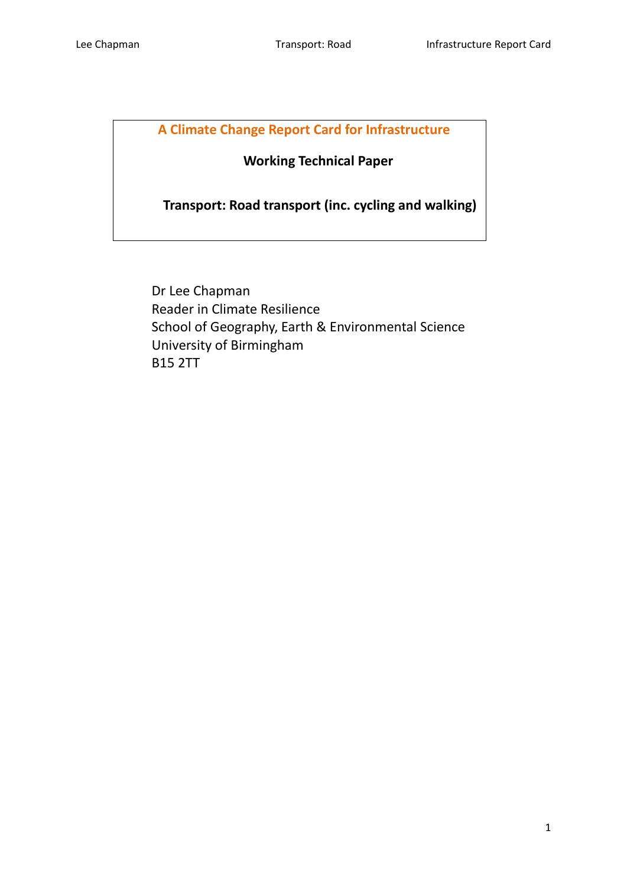# **A Climate Change Report Card for Infrastructure**

# **Working Technical Paper**

 **Transport: Road transport (inc. cycling and walking)**

Dr Lee Chapman Reader in Climate Resilience School of Geography, Earth & Environmental Science University of Birmingham B15 2TT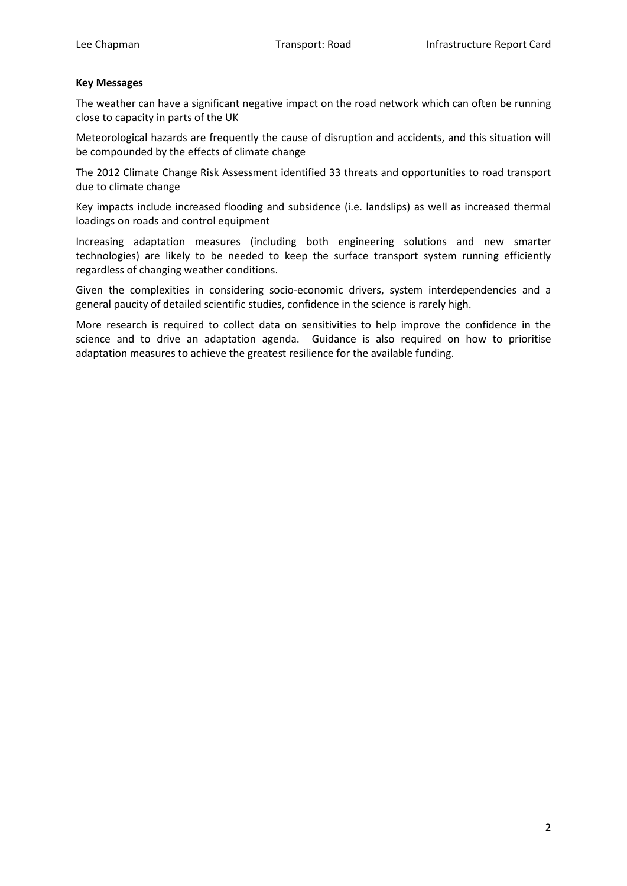#### **Key Messages**

The weather can have a significant negative impact on the road network which can often be running close to capacity in parts of the UK

Meteorological hazards are frequently the cause of disruption and accidents, and this situation will be compounded by the effects of climate change

The 2012 Climate Change Risk Assessment identified 33 threats and opportunities to road transport due to climate change

Key impacts include increased flooding and subsidence (i.e. landslips) as well as increased thermal loadings on roads and control equipment

Increasing adaptation measures (including both engineering solutions and new smarter technologies) are likely to be needed to keep the surface transport system running efficiently regardless of changing weather conditions.

Given the complexities in considering socio-economic drivers, system interdependencies and a general paucity of detailed scientific studies, confidence in the science is rarely high.

More research is required to collect data on sensitivities to help improve the confidence in the science and to drive an adaptation agenda. Guidance is also required on how to prioritise adaptation measures to achieve the greatest resilience for the available funding.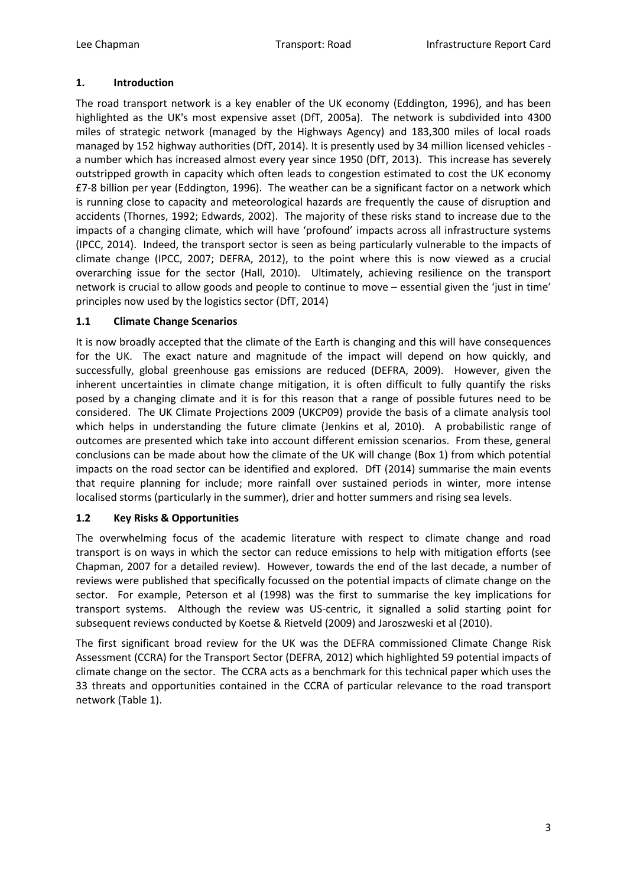# **1. Introduction**

The road transport network is a key enabler of the UK economy (Eddington, 1996), and has been highlighted as the UK's most expensive asset (DfT, 2005a). The network is subdivided into 4300 miles of strategic network (managed by the Highways Agency) and 183,300 miles of local roads managed by 152 highway authorities (DfT, 2014). It is presently used by 34 million licensed vehicles a number which has increased almost every year since 1950 (DfT, 2013). This increase has severely outstripped growth in capacity which often leads to congestion estimated to cost the UK economy £7-8 billion per year (Eddington, 1996). The weather can be a significant factor on a network which is running close to capacity and meteorological hazards are frequently the cause of disruption and accidents (Thornes, 1992; Edwards, 2002). The majority of these risks stand to increase due to the impacts of a changing climate, which will have 'profound' impacts across all infrastructure systems (IPCC, 2014). Indeed, the transport sector is seen as being particularly vulnerable to the impacts of climate change (IPCC, 2007; DEFRA, 2012), to the point where this is now viewed as a crucial overarching issue for the sector (Hall, 2010). Ultimately, achieving resilience on the transport network is crucial to allow goods and people to continue to move – essential given the 'just in time' principles now used by the logistics sector (DfT, 2014)

# **1.1 Climate Change Scenarios**

It is now broadly accepted that the climate of the Earth is changing and this will have consequences for the UK. The exact nature and magnitude of the impact will depend on how quickly, and successfully, global greenhouse gas emissions are reduced (DEFRA, 2009). However, given the inherent uncertainties in climate change mitigation, it is often difficult to fully quantify the risks posed by a changing climate and it is for this reason that a range of possible futures need to be considered. The UK Climate Projections 2009 (UKCP09) provide the basis of a climate analysis tool which helps in understanding the future climate (Jenkins et al, 2010). A probabilistic range of outcomes are presented which take into account different emission scenarios. From these, general conclusions can be made about how the climate of the UK will change (Box 1) from which potential impacts on the road sector can be identified and explored. DfT (2014) summarise the main events that require planning for include; more rainfall over sustained periods in winter, more intense localised storms (particularly in the summer), drier and hotter summers and rising sea levels.

# **1.2 Key Risks & Opportunities**

The overwhelming focus of the academic literature with respect to climate change and road transport is on ways in which the sector can reduce emissions to help with mitigation efforts (see Chapman, 2007 for a detailed review). However, towards the end of the last decade, a number of reviews were published that specifically focussed on the potential impacts of climate change on the sector. For example, Peterson et al (1998) was the first to summarise the key implications for transport systems. Although the review was US-centric, it signalled a solid starting point for subsequent reviews conducted by Koetse & Rietveld (2009) and Jaroszweski et al (2010).

The first significant broad review for the UK was the DEFRA commissioned Climate Change Risk Assessment (CCRA) for the Transport Sector (DEFRA, 2012) which highlighted 59 potential impacts of climate change on the sector. The CCRA acts as a benchmark for this technical paper which uses the 33 threats and opportunities contained in the CCRA of particular relevance to the road transport network (Table 1).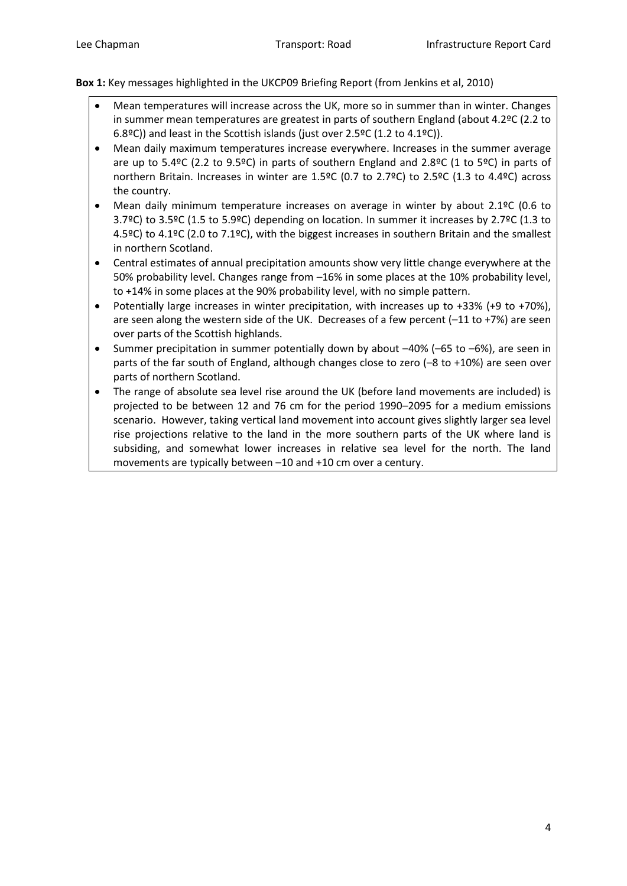**Box 1:** Key messages highlighted in the UKCP09 Briefing Report (from Jenkins et al, 2010)

- Mean temperatures will increase across the UK, more so in summer than in winter. Changes in summer mean temperatures are greatest in parts of southern England (about 4.2ºC (2.2 to 6.8ºC)) and least in the Scottish islands (just over 2.5ºC (1.2 to 4.1ºC)).
- Mean daily maximum temperatures increase everywhere. Increases in the summer average are up to 5.4ºC (2.2 to 9.5ºC) in parts of southern England and 2.8ºC (1 to 5ºC) in parts of northern Britain. Increases in winter are 1.5ºC (0.7 to 2.7ºC) to 2.5ºC (1.3 to 4.4ºC) across the country.
- Mean daily minimum temperature increases on average in winter by about 2.1ºC (0.6 to 3.7ºC) to 3.5ºC (1.5 to 5.9ºC) depending on location. In summer it increases by 2.7ºC (1.3 to 4.5ºC) to 4.1ºC (2.0 to 7.1ºC), with the biggest increases in southern Britain and the smallest in northern Scotland.
- Central estimates of annual precipitation amounts show very little change everywhere at the 50% probability level. Changes range from –16% in some places at the 10% probability level, to +14% in some places at the 90% probability level, with no simple pattern.
- Potentially large increases in winter precipitation, with increases up to +33% (+9 to +70%), are seen along the western side of the UK. Decreases of a few percent (–11 to +7%) are seen over parts of the Scottish highlands.
- Summer precipitation in summer potentially down by about –40% (–65 to –6%), are seen in parts of the far south of England, although changes close to zero (–8 to +10%) are seen over parts of northern Scotland.
- The range of absolute sea level rise around the UK (before land movements are included) is projected to be between 12 and 76 cm for the period 1990–2095 for a medium emissions scenario. However, taking vertical land movement into account gives slightly larger sea level rise projections relative to the land in the more southern parts of the UK where land is subsiding, and somewhat lower increases in relative sea level for the north. The land movements are typically between –10 and +10 cm over a century.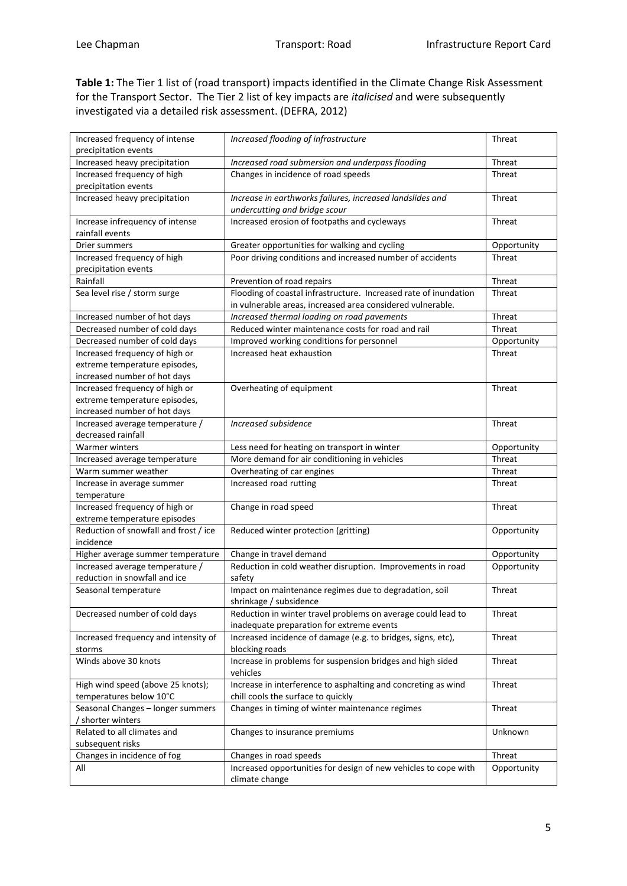**Table 1:** The Tier 1 list of (road transport) impacts identified in the Climate Change Risk Assessment for the Transport Sector. The Tier 2 list of key impacts are *italicised* and were subsequently investigated via a detailed risk assessment. (DEFRA, 2012)

| Increased heavy precipitation<br>Increased road submersion and underpass flooding<br>Threat<br>Increased frequency of high<br>Changes in incidence of road speeds<br>Threat<br>precipitation events<br>Increased heavy precipitation<br>Increase in earthworks failures, increased landslides and<br>Threat<br>undercutting and bridge scour<br>Increase infrequency of intense<br>Increased erosion of footpaths and cycleways<br><b>Threat</b><br>rainfall events<br>Drier summers<br>Greater opportunities for walking and cycling<br>Opportunity<br>Poor driving conditions and increased number of accidents<br>Increased frequency of high<br>Threat<br>precipitation events<br>Rainfall<br>Prevention of road repairs<br>Threat<br>Flooding of coastal infrastructure. Increased rate of inundation<br>Sea level rise / storm surge<br>Threat<br>in vulnerable areas, increased area considered vulnerable.<br>Increased thermal loading on road pavements<br>Threat<br>Increased number of hot days<br>Decreased number of cold days<br>Reduced winter maintenance costs for road and rail<br>Threat<br>Decreased number of cold days<br>Improved working conditions for personnel<br>Opportunity<br>Increased frequency of high or<br>Increased heat exhaustion<br><b>Threat</b><br>extreme temperature episodes,<br>increased number of hot days<br>Increased frequency of high or<br>Overheating of equipment<br>Threat<br>extreme temperature episodes,<br>increased number of hot days<br>Increased average temperature /<br>Increased subsidence<br>Threat<br>decreased rainfall<br><b>Warmer winters</b><br>Less need for heating on transport in winter<br>Opportunity<br>More demand for air conditioning in vehicles<br>Threat<br>Increased average temperature<br>Overheating of car engines<br>Threat<br>Warm summer weather<br>Increased road rutting<br>Threat<br>Increase in average summer<br>temperature<br>Increased frequency of high or<br>Change in road speed<br><b>Threat</b><br>extreme temperature episodes<br>Reduction of snowfall and frost / ice<br>Reduced winter protection (gritting)<br>Opportunity<br>incidence<br>Higher average summer temperature<br>Change in travel demand<br>Opportunity<br>Increased average temperature /<br>Reduction in cold weather disruption. Improvements in road<br>Opportunity<br>reduction in snowfall and ice<br>safety<br>Impact on maintenance regimes due to degradation, soil<br>Threat<br>Seasonal temperature<br>shrinkage / subsidence<br>Decreased number of cold days<br>Reduction in winter travel problems on average could lead to<br>Threat<br>inadequate preparation for extreme events<br>Increased frequency and intensity of<br>Increased incidence of damage (e.g. to bridges, signs, etc),<br><b>Threat</b><br>blocking roads<br>storms<br>Winds above 30 knots<br>Increase in problems for suspension bridges and high sided<br>Threat<br>vehicles<br>Increase in interference to asphalting and concreting as wind<br>High wind speed (above 25 knots);<br>Threat<br>chill cools the surface to quickly<br>temperatures below 10°C<br>Seasonal Changes - longer summers<br>Changes in timing of winter maintenance regimes<br>Threat<br>/ shorter winters<br>Related to all climates and<br>Changes to insurance premiums<br>Unknown<br>subsequent risks<br>Changes in incidence of fog<br>Changes in road speeds<br>Threat<br>Increased opportunities for design of new vehicles to cope with<br>All<br>Opportunity<br>climate change | Increased frequency of intense | Increased flooding of infrastructure | <b>Threat</b> |
|-----------------------------------------------------------------------------------------------------------------------------------------------------------------------------------------------------------------------------------------------------------------------------------------------------------------------------------------------------------------------------------------------------------------------------------------------------------------------------------------------------------------------------------------------------------------------------------------------------------------------------------------------------------------------------------------------------------------------------------------------------------------------------------------------------------------------------------------------------------------------------------------------------------------------------------------------------------------------------------------------------------------------------------------------------------------------------------------------------------------------------------------------------------------------------------------------------------------------------------------------------------------------------------------------------------------------------------------------------------------------------------------------------------------------------------------------------------------------------------------------------------------------------------------------------------------------------------------------------------------------------------------------------------------------------------------------------------------------------------------------------------------------------------------------------------------------------------------------------------------------------------------------------------------------------------------------------------------------------------------------------------------------------------------------------------------------------------------------------------------------------------------------------------------------------------------------------------------------------------------------------------------------------------------------------------------------------------------------------------------------------------------------------------------------------------------------------------------------------------------------------------------------------------------------------------------------------------------------------------------------------------------------------------------------------------------------------------------------------------------------------------------------------------------------------------------------------------------------------------------------------------------------------------------------------------------------------------------------------------------------------------------------------------------------------------------------------------------------------------------------------------------------------------------------------------------------------------------------------------------------------------------------------------------------------------------------------------------------------------------------------------------------------------------------------------------------------------------------------------------------------------------------------------------|--------------------------------|--------------------------------------|---------------|
|                                                                                                                                                                                                                                                                                                                                                                                                                                                                                                                                                                                                                                                                                                                                                                                                                                                                                                                                                                                                                                                                                                                                                                                                                                                                                                                                                                                                                                                                                                                                                                                                                                                                                                                                                                                                                                                                                                                                                                                                                                                                                                                                                                                                                                                                                                                                                                                                                                                                                                                                                                                                                                                                                                                                                                                                                                                                                                                                                                                                                                                                                                                                                                                                                                                                                                                                                                                                                                                                                                                                         | precipitation events           |                                      |               |
|                                                                                                                                                                                                                                                                                                                                                                                                                                                                                                                                                                                                                                                                                                                                                                                                                                                                                                                                                                                                                                                                                                                                                                                                                                                                                                                                                                                                                                                                                                                                                                                                                                                                                                                                                                                                                                                                                                                                                                                                                                                                                                                                                                                                                                                                                                                                                                                                                                                                                                                                                                                                                                                                                                                                                                                                                                                                                                                                                                                                                                                                                                                                                                                                                                                                                                                                                                                                                                                                                                                                         |                                |                                      |               |
|                                                                                                                                                                                                                                                                                                                                                                                                                                                                                                                                                                                                                                                                                                                                                                                                                                                                                                                                                                                                                                                                                                                                                                                                                                                                                                                                                                                                                                                                                                                                                                                                                                                                                                                                                                                                                                                                                                                                                                                                                                                                                                                                                                                                                                                                                                                                                                                                                                                                                                                                                                                                                                                                                                                                                                                                                                                                                                                                                                                                                                                                                                                                                                                                                                                                                                                                                                                                                                                                                                                                         |                                |                                      |               |
|                                                                                                                                                                                                                                                                                                                                                                                                                                                                                                                                                                                                                                                                                                                                                                                                                                                                                                                                                                                                                                                                                                                                                                                                                                                                                                                                                                                                                                                                                                                                                                                                                                                                                                                                                                                                                                                                                                                                                                                                                                                                                                                                                                                                                                                                                                                                                                                                                                                                                                                                                                                                                                                                                                                                                                                                                                                                                                                                                                                                                                                                                                                                                                                                                                                                                                                                                                                                                                                                                                                                         |                                |                                      |               |
|                                                                                                                                                                                                                                                                                                                                                                                                                                                                                                                                                                                                                                                                                                                                                                                                                                                                                                                                                                                                                                                                                                                                                                                                                                                                                                                                                                                                                                                                                                                                                                                                                                                                                                                                                                                                                                                                                                                                                                                                                                                                                                                                                                                                                                                                                                                                                                                                                                                                                                                                                                                                                                                                                                                                                                                                                                                                                                                                                                                                                                                                                                                                                                                                                                                                                                                                                                                                                                                                                                                                         |                                |                                      |               |
|                                                                                                                                                                                                                                                                                                                                                                                                                                                                                                                                                                                                                                                                                                                                                                                                                                                                                                                                                                                                                                                                                                                                                                                                                                                                                                                                                                                                                                                                                                                                                                                                                                                                                                                                                                                                                                                                                                                                                                                                                                                                                                                                                                                                                                                                                                                                                                                                                                                                                                                                                                                                                                                                                                                                                                                                                                                                                                                                                                                                                                                                                                                                                                                                                                                                                                                                                                                                                                                                                                                                         |                                |                                      |               |
|                                                                                                                                                                                                                                                                                                                                                                                                                                                                                                                                                                                                                                                                                                                                                                                                                                                                                                                                                                                                                                                                                                                                                                                                                                                                                                                                                                                                                                                                                                                                                                                                                                                                                                                                                                                                                                                                                                                                                                                                                                                                                                                                                                                                                                                                                                                                                                                                                                                                                                                                                                                                                                                                                                                                                                                                                                                                                                                                                                                                                                                                                                                                                                                                                                                                                                                                                                                                                                                                                                                                         |                                |                                      |               |
|                                                                                                                                                                                                                                                                                                                                                                                                                                                                                                                                                                                                                                                                                                                                                                                                                                                                                                                                                                                                                                                                                                                                                                                                                                                                                                                                                                                                                                                                                                                                                                                                                                                                                                                                                                                                                                                                                                                                                                                                                                                                                                                                                                                                                                                                                                                                                                                                                                                                                                                                                                                                                                                                                                                                                                                                                                                                                                                                                                                                                                                                                                                                                                                                                                                                                                                                                                                                                                                                                                                                         |                                |                                      |               |
|                                                                                                                                                                                                                                                                                                                                                                                                                                                                                                                                                                                                                                                                                                                                                                                                                                                                                                                                                                                                                                                                                                                                                                                                                                                                                                                                                                                                                                                                                                                                                                                                                                                                                                                                                                                                                                                                                                                                                                                                                                                                                                                                                                                                                                                                                                                                                                                                                                                                                                                                                                                                                                                                                                                                                                                                                                                                                                                                                                                                                                                                                                                                                                                                                                                                                                                                                                                                                                                                                                                                         |                                |                                      |               |
|                                                                                                                                                                                                                                                                                                                                                                                                                                                                                                                                                                                                                                                                                                                                                                                                                                                                                                                                                                                                                                                                                                                                                                                                                                                                                                                                                                                                                                                                                                                                                                                                                                                                                                                                                                                                                                                                                                                                                                                                                                                                                                                                                                                                                                                                                                                                                                                                                                                                                                                                                                                                                                                                                                                                                                                                                                                                                                                                                                                                                                                                                                                                                                                                                                                                                                                                                                                                                                                                                                                                         |                                |                                      |               |
|                                                                                                                                                                                                                                                                                                                                                                                                                                                                                                                                                                                                                                                                                                                                                                                                                                                                                                                                                                                                                                                                                                                                                                                                                                                                                                                                                                                                                                                                                                                                                                                                                                                                                                                                                                                                                                                                                                                                                                                                                                                                                                                                                                                                                                                                                                                                                                                                                                                                                                                                                                                                                                                                                                                                                                                                                                                                                                                                                                                                                                                                                                                                                                                                                                                                                                                                                                                                                                                                                                                                         |                                |                                      |               |
|                                                                                                                                                                                                                                                                                                                                                                                                                                                                                                                                                                                                                                                                                                                                                                                                                                                                                                                                                                                                                                                                                                                                                                                                                                                                                                                                                                                                                                                                                                                                                                                                                                                                                                                                                                                                                                                                                                                                                                                                                                                                                                                                                                                                                                                                                                                                                                                                                                                                                                                                                                                                                                                                                                                                                                                                                                                                                                                                                                                                                                                                                                                                                                                                                                                                                                                                                                                                                                                                                                                                         |                                |                                      |               |
|                                                                                                                                                                                                                                                                                                                                                                                                                                                                                                                                                                                                                                                                                                                                                                                                                                                                                                                                                                                                                                                                                                                                                                                                                                                                                                                                                                                                                                                                                                                                                                                                                                                                                                                                                                                                                                                                                                                                                                                                                                                                                                                                                                                                                                                                                                                                                                                                                                                                                                                                                                                                                                                                                                                                                                                                                                                                                                                                                                                                                                                                                                                                                                                                                                                                                                                                                                                                                                                                                                                                         |                                |                                      |               |
|                                                                                                                                                                                                                                                                                                                                                                                                                                                                                                                                                                                                                                                                                                                                                                                                                                                                                                                                                                                                                                                                                                                                                                                                                                                                                                                                                                                                                                                                                                                                                                                                                                                                                                                                                                                                                                                                                                                                                                                                                                                                                                                                                                                                                                                                                                                                                                                                                                                                                                                                                                                                                                                                                                                                                                                                                                                                                                                                                                                                                                                                                                                                                                                                                                                                                                                                                                                                                                                                                                                                         |                                |                                      |               |
|                                                                                                                                                                                                                                                                                                                                                                                                                                                                                                                                                                                                                                                                                                                                                                                                                                                                                                                                                                                                                                                                                                                                                                                                                                                                                                                                                                                                                                                                                                                                                                                                                                                                                                                                                                                                                                                                                                                                                                                                                                                                                                                                                                                                                                                                                                                                                                                                                                                                                                                                                                                                                                                                                                                                                                                                                                                                                                                                                                                                                                                                                                                                                                                                                                                                                                                                                                                                                                                                                                                                         |                                |                                      |               |
|                                                                                                                                                                                                                                                                                                                                                                                                                                                                                                                                                                                                                                                                                                                                                                                                                                                                                                                                                                                                                                                                                                                                                                                                                                                                                                                                                                                                                                                                                                                                                                                                                                                                                                                                                                                                                                                                                                                                                                                                                                                                                                                                                                                                                                                                                                                                                                                                                                                                                                                                                                                                                                                                                                                                                                                                                                                                                                                                                                                                                                                                                                                                                                                                                                                                                                                                                                                                                                                                                                                                         |                                |                                      |               |
|                                                                                                                                                                                                                                                                                                                                                                                                                                                                                                                                                                                                                                                                                                                                                                                                                                                                                                                                                                                                                                                                                                                                                                                                                                                                                                                                                                                                                                                                                                                                                                                                                                                                                                                                                                                                                                                                                                                                                                                                                                                                                                                                                                                                                                                                                                                                                                                                                                                                                                                                                                                                                                                                                                                                                                                                                                                                                                                                                                                                                                                                                                                                                                                                                                                                                                                                                                                                                                                                                                                                         |                                |                                      |               |
|                                                                                                                                                                                                                                                                                                                                                                                                                                                                                                                                                                                                                                                                                                                                                                                                                                                                                                                                                                                                                                                                                                                                                                                                                                                                                                                                                                                                                                                                                                                                                                                                                                                                                                                                                                                                                                                                                                                                                                                                                                                                                                                                                                                                                                                                                                                                                                                                                                                                                                                                                                                                                                                                                                                                                                                                                                                                                                                                                                                                                                                                                                                                                                                                                                                                                                                                                                                                                                                                                                                                         |                                |                                      |               |
|                                                                                                                                                                                                                                                                                                                                                                                                                                                                                                                                                                                                                                                                                                                                                                                                                                                                                                                                                                                                                                                                                                                                                                                                                                                                                                                                                                                                                                                                                                                                                                                                                                                                                                                                                                                                                                                                                                                                                                                                                                                                                                                                                                                                                                                                                                                                                                                                                                                                                                                                                                                                                                                                                                                                                                                                                                                                                                                                                                                                                                                                                                                                                                                                                                                                                                                                                                                                                                                                                                                                         |                                |                                      |               |
|                                                                                                                                                                                                                                                                                                                                                                                                                                                                                                                                                                                                                                                                                                                                                                                                                                                                                                                                                                                                                                                                                                                                                                                                                                                                                                                                                                                                                                                                                                                                                                                                                                                                                                                                                                                                                                                                                                                                                                                                                                                                                                                                                                                                                                                                                                                                                                                                                                                                                                                                                                                                                                                                                                                                                                                                                                                                                                                                                                                                                                                                                                                                                                                                                                                                                                                                                                                                                                                                                                                                         |                                |                                      |               |
|                                                                                                                                                                                                                                                                                                                                                                                                                                                                                                                                                                                                                                                                                                                                                                                                                                                                                                                                                                                                                                                                                                                                                                                                                                                                                                                                                                                                                                                                                                                                                                                                                                                                                                                                                                                                                                                                                                                                                                                                                                                                                                                                                                                                                                                                                                                                                                                                                                                                                                                                                                                                                                                                                                                                                                                                                                                                                                                                                                                                                                                                                                                                                                                                                                                                                                                                                                                                                                                                                                                                         |                                |                                      |               |
|                                                                                                                                                                                                                                                                                                                                                                                                                                                                                                                                                                                                                                                                                                                                                                                                                                                                                                                                                                                                                                                                                                                                                                                                                                                                                                                                                                                                                                                                                                                                                                                                                                                                                                                                                                                                                                                                                                                                                                                                                                                                                                                                                                                                                                                                                                                                                                                                                                                                                                                                                                                                                                                                                                                                                                                                                                                                                                                                                                                                                                                                                                                                                                                                                                                                                                                                                                                                                                                                                                                                         |                                |                                      |               |
|                                                                                                                                                                                                                                                                                                                                                                                                                                                                                                                                                                                                                                                                                                                                                                                                                                                                                                                                                                                                                                                                                                                                                                                                                                                                                                                                                                                                                                                                                                                                                                                                                                                                                                                                                                                                                                                                                                                                                                                                                                                                                                                                                                                                                                                                                                                                                                                                                                                                                                                                                                                                                                                                                                                                                                                                                                                                                                                                                                                                                                                                                                                                                                                                                                                                                                                                                                                                                                                                                                                                         |                                |                                      |               |
|                                                                                                                                                                                                                                                                                                                                                                                                                                                                                                                                                                                                                                                                                                                                                                                                                                                                                                                                                                                                                                                                                                                                                                                                                                                                                                                                                                                                                                                                                                                                                                                                                                                                                                                                                                                                                                                                                                                                                                                                                                                                                                                                                                                                                                                                                                                                                                                                                                                                                                                                                                                                                                                                                                                                                                                                                                                                                                                                                                                                                                                                                                                                                                                                                                                                                                                                                                                                                                                                                                                                         |                                |                                      |               |
|                                                                                                                                                                                                                                                                                                                                                                                                                                                                                                                                                                                                                                                                                                                                                                                                                                                                                                                                                                                                                                                                                                                                                                                                                                                                                                                                                                                                                                                                                                                                                                                                                                                                                                                                                                                                                                                                                                                                                                                                                                                                                                                                                                                                                                                                                                                                                                                                                                                                                                                                                                                                                                                                                                                                                                                                                                                                                                                                                                                                                                                                                                                                                                                                                                                                                                                                                                                                                                                                                                                                         |                                |                                      |               |
|                                                                                                                                                                                                                                                                                                                                                                                                                                                                                                                                                                                                                                                                                                                                                                                                                                                                                                                                                                                                                                                                                                                                                                                                                                                                                                                                                                                                                                                                                                                                                                                                                                                                                                                                                                                                                                                                                                                                                                                                                                                                                                                                                                                                                                                                                                                                                                                                                                                                                                                                                                                                                                                                                                                                                                                                                                                                                                                                                                                                                                                                                                                                                                                                                                                                                                                                                                                                                                                                                                                                         |                                |                                      |               |
|                                                                                                                                                                                                                                                                                                                                                                                                                                                                                                                                                                                                                                                                                                                                                                                                                                                                                                                                                                                                                                                                                                                                                                                                                                                                                                                                                                                                                                                                                                                                                                                                                                                                                                                                                                                                                                                                                                                                                                                                                                                                                                                                                                                                                                                                                                                                                                                                                                                                                                                                                                                                                                                                                                                                                                                                                                                                                                                                                                                                                                                                                                                                                                                                                                                                                                                                                                                                                                                                                                                                         |                                |                                      |               |
|                                                                                                                                                                                                                                                                                                                                                                                                                                                                                                                                                                                                                                                                                                                                                                                                                                                                                                                                                                                                                                                                                                                                                                                                                                                                                                                                                                                                                                                                                                                                                                                                                                                                                                                                                                                                                                                                                                                                                                                                                                                                                                                                                                                                                                                                                                                                                                                                                                                                                                                                                                                                                                                                                                                                                                                                                                                                                                                                                                                                                                                                                                                                                                                                                                                                                                                                                                                                                                                                                                                                         |                                |                                      |               |
|                                                                                                                                                                                                                                                                                                                                                                                                                                                                                                                                                                                                                                                                                                                                                                                                                                                                                                                                                                                                                                                                                                                                                                                                                                                                                                                                                                                                                                                                                                                                                                                                                                                                                                                                                                                                                                                                                                                                                                                                                                                                                                                                                                                                                                                                                                                                                                                                                                                                                                                                                                                                                                                                                                                                                                                                                                                                                                                                                                                                                                                                                                                                                                                                                                                                                                                                                                                                                                                                                                                                         |                                |                                      |               |
|                                                                                                                                                                                                                                                                                                                                                                                                                                                                                                                                                                                                                                                                                                                                                                                                                                                                                                                                                                                                                                                                                                                                                                                                                                                                                                                                                                                                                                                                                                                                                                                                                                                                                                                                                                                                                                                                                                                                                                                                                                                                                                                                                                                                                                                                                                                                                                                                                                                                                                                                                                                                                                                                                                                                                                                                                                                                                                                                                                                                                                                                                                                                                                                                                                                                                                                                                                                                                                                                                                                                         |                                |                                      |               |
|                                                                                                                                                                                                                                                                                                                                                                                                                                                                                                                                                                                                                                                                                                                                                                                                                                                                                                                                                                                                                                                                                                                                                                                                                                                                                                                                                                                                                                                                                                                                                                                                                                                                                                                                                                                                                                                                                                                                                                                                                                                                                                                                                                                                                                                                                                                                                                                                                                                                                                                                                                                                                                                                                                                                                                                                                                                                                                                                                                                                                                                                                                                                                                                                                                                                                                                                                                                                                                                                                                                                         |                                |                                      |               |
|                                                                                                                                                                                                                                                                                                                                                                                                                                                                                                                                                                                                                                                                                                                                                                                                                                                                                                                                                                                                                                                                                                                                                                                                                                                                                                                                                                                                                                                                                                                                                                                                                                                                                                                                                                                                                                                                                                                                                                                                                                                                                                                                                                                                                                                                                                                                                                                                                                                                                                                                                                                                                                                                                                                                                                                                                                                                                                                                                                                                                                                                                                                                                                                                                                                                                                                                                                                                                                                                                                                                         |                                |                                      |               |
|                                                                                                                                                                                                                                                                                                                                                                                                                                                                                                                                                                                                                                                                                                                                                                                                                                                                                                                                                                                                                                                                                                                                                                                                                                                                                                                                                                                                                                                                                                                                                                                                                                                                                                                                                                                                                                                                                                                                                                                                                                                                                                                                                                                                                                                                                                                                                                                                                                                                                                                                                                                                                                                                                                                                                                                                                                                                                                                                                                                                                                                                                                                                                                                                                                                                                                                                                                                                                                                                                                                                         |                                |                                      |               |
|                                                                                                                                                                                                                                                                                                                                                                                                                                                                                                                                                                                                                                                                                                                                                                                                                                                                                                                                                                                                                                                                                                                                                                                                                                                                                                                                                                                                                                                                                                                                                                                                                                                                                                                                                                                                                                                                                                                                                                                                                                                                                                                                                                                                                                                                                                                                                                                                                                                                                                                                                                                                                                                                                                                                                                                                                                                                                                                                                                                                                                                                                                                                                                                                                                                                                                                                                                                                                                                                                                                                         |                                |                                      |               |
|                                                                                                                                                                                                                                                                                                                                                                                                                                                                                                                                                                                                                                                                                                                                                                                                                                                                                                                                                                                                                                                                                                                                                                                                                                                                                                                                                                                                                                                                                                                                                                                                                                                                                                                                                                                                                                                                                                                                                                                                                                                                                                                                                                                                                                                                                                                                                                                                                                                                                                                                                                                                                                                                                                                                                                                                                                                                                                                                                                                                                                                                                                                                                                                                                                                                                                                                                                                                                                                                                                                                         |                                |                                      |               |
|                                                                                                                                                                                                                                                                                                                                                                                                                                                                                                                                                                                                                                                                                                                                                                                                                                                                                                                                                                                                                                                                                                                                                                                                                                                                                                                                                                                                                                                                                                                                                                                                                                                                                                                                                                                                                                                                                                                                                                                                                                                                                                                                                                                                                                                                                                                                                                                                                                                                                                                                                                                                                                                                                                                                                                                                                                                                                                                                                                                                                                                                                                                                                                                                                                                                                                                                                                                                                                                                                                                                         |                                |                                      |               |
|                                                                                                                                                                                                                                                                                                                                                                                                                                                                                                                                                                                                                                                                                                                                                                                                                                                                                                                                                                                                                                                                                                                                                                                                                                                                                                                                                                                                                                                                                                                                                                                                                                                                                                                                                                                                                                                                                                                                                                                                                                                                                                                                                                                                                                                                                                                                                                                                                                                                                                                                                                                                                                                                                                                                                                                                                                                                                                                                                                                                                                                                                                                                                                                                                                                                                                                                                                                                                                                                                                                                         |                                |                                      |               |
|                                                                                                                                                                                                                                                                                                                                                                                                                                                                                                                                                                                                                                                                                                                                                                                                                                                                                                                                                                                                                                                                                                                                                                                                                                                                                                                                                                                                                                                                                                                                                                                                                                                                                                                                                                                                                                                                                                                                                                                                                                                                                                                                                                                                                                                                                                                                                                                                                                                                                                                                                                                                                                                                                                                                                                                                                                                                                                                                                                                                                                                                                                                                                                                                                                                                                                                                                                                                                                                                                                                                         |                                |                                      |               |
|                                                                                                                                                                                                                                                                                                                                                                                                                                                                                                                                                                                                                                                                                                                                                                                                                                                                                                                                                                                                                                                                                                                                                                                                                                                                                                                                                                                                                                                                                                                                                                                                                                                                                                                                                                                                                                                                                                                                                                                                                                                                                                                                                                                                                                                                                                                                                                                                                                                                                                                                                                                                                                                                                                                                                                                                                                                                                                                                                                                                                                                                                                                                                                                                                                                                                                                                                                                                                                                                                                                                         |                                |                                      |               |
|                                                                                                                                                                                                                                                                                                                                                                                                                                                                                                                                                                                                                                                                                                                                                                                                                                                                                                                                                                                                                                                                                                                                                                                                                                                                                                                                                                                                                                                                                                                                                                                                                                                                                                                                                                                                                                                                                                                                                                                                                                                                                                                                                                                                                                                                                                                                                                                                                                                                                                                                                                                                                                                                                                                                                                                                                                                                                                                                                                                                                                                                                                                                                                                                                                                                                                                                                                                                                                                                                                                                         |                                |                                      |               |
|                                                                                                                                                                                                                                                                                                                                                                                                                                                                                                                                                                                                                                                                                                                                                                                                                                                                                                                                                                                                                                                                                                                                                                                                                                                                                                                                                                                                                                                                                                                                                                                                                                                                                                                                                                                                                                                                                                                                                                                                                                                                                                                                                                                                                                                                                                                                                                                                                                                                                                                                                                                                                                                                                                                                                                                                                                                                                                                                                                                                                                                                                                                                                                                                                                                                                                                                                                                                                                                                                                                                         |                                |                                      |               |
|                                                                                                                                                                                                                                                                                                                                                                                                                                                                                                                                                                                                                                                                                                                                                                                                                                                                                                                                                                                                                                                                                                                                                                                                                                                                                                                                                                                                                                                                                                                                                                                                                                                                                                                                                                                                                                                                                                                                                                                                                                                                                                                                                                                                                                                                                                                                                                                                                                                                                                                                                                                                                                                                                                                                                                                                                                                                                                                                                                                                                                                                                                                                                                                                                                                                                                                                                                                                                                                                                                                                         |                                |                                      |               |
|                                                                                                                                                                                                                                                                                                                                                                                                                                                                                                                                                                                                                                                                                                                                                                                                                                                                                                                                                                                                                                                                                                                                                                                                                                                                                                                                                                                                                                                                                                                                                                                                                                                                                                                                                                                                                                                                                                                                                                                                                                                                                                                                                                                                                                                                                                                                                                                                                                                                                                                                                                                                                                                                                                                                                                                                                                                                                                                                                                                                                                                                                                                                                                                                                                                                                                                                                                                                                                                                                                                                         |                                |                                      |               |
|                                                                                                                                                                                                                                                                                                                                                                                                                                                                                                                                                                                                                                                                                                                                                                                                                                                                                                                                                                                                                                                                                                                                                                                                                                                                                                                                                                                                                                                                                                                                                                                                                                                                                                                                                                                                                                                                                                                                                                                                                                                                                                                                                                                                                                                                                                                                                                                                                                                                                                                                                                                                                                                                                                                                                                                                                                                                                                                                                                                                                                                                                                                                                                                                                                                                                                                                                                                                                                                                                                                                         |                                |                                      |               |
|                                                                                                                                                                                                                                                                                                                                                                                                                                                                                                                                                                                                                                                                                                                                                                                                                                                                                                                                                                                                                                                                                                                                                                                                                                                                                                                                                                                                                                                                                                                                                                                                                                                                                                                                                                                                                                                                                                                                                                                                                                                                                                                                                                                                                                                                                                                                                                                                                                                                                                                                                                                                                                                                                                                                                                                                                                                                                                                                                                                                                                                                                                                                                                                                                                                                                                                                                                                                                                                                                                                                         |                                |                                      |               |
|                                                                                                                                                                                                                                                                                                                                                                                                                                                                                                                                                                                                                                                                                                                                                                                                                                                                                                                                                                                                                                                                                                                                                                                                                                                                                                                                                                                                                                                                                                                                                                                                                                                                                                                                                                                                                                                                                                                                                                                                                                                                                                                                                                                                                                                                                                                                                                                                                                                                                                                                                                                                                                                                                                                                                                                                                                                                                                                                                                                                                                                                                                                                                                                                                                                                                                                                                                                                                                                                                                                                         |                                |                                      |               |
|                                                                                                                                                                                                                                                                                                                                                                                                                                                                                                                                                                                                                                                                                                                                                                                                                                                                                                                                                                                                                                                                                                                                                                                                                                                                                                                                                                                                                                                                                                                                                                                                                                                                                                                                                                                                                                                                                                                                                                                                                                                                                                                                                                                                                                                                                                                                                                                                                                                                                                                                                                                                                                                                                                                                                                                                                                                                                                                                                                                                                                                                                                                                                                                                                                                                                                                                                                                                                                                                                                                                         |                                |                                      |               |
|                                                                                                                                                                                                                                                                                                                                                                                                                                                                                                                                                                                                                                                                                                                                                                                                                                                                                                                                                                                                                                                                                                                                                                                                                                                                                                                                                                                                                                                                                                                                                                                                                                                                                                                                                                                                                                                                                                                                                                                                                                                                                                                                                                                                                                                                                                                                                                                                                                                                                                                                                                                                                                                                                                                                                                                                                                                                                                                                                                                                                                                                                                                                                                                                                                                                                                                                                                                                                                                                                                                                         |                                |                                      |               |
|                                                                                                                                                                                                                                                                                                                                                                                                                                                                                                                                                                                                                                                                                                                                                                                                                                                                                                                                                                                                                                                                                                                                                                                                                                                                                                                                                                                                                                                                                                                                                                                                                                                                                                                                                                                                                                                                                                                                                                                                                                                                                                                                                                                                                                                                                                                                                                                                                                                                                                                                                                                                                                                                                                                                                                                                                                                                                                                                                                                                                                                                                                                                                                                                                                                                                                                                                                                                                                                                                                                                         |                                |                                      |               |
|                                                                                                                                                                                                                                                                                                                                                                                                                                                                                                                                                                                                                                                                                                                                                                                                                                                                                                                                                                                                                                                                                                                                                                                                                                                                                                                                                                                                                                                                                                                                                                                                                                                                                                                                                                                                                                                                                                                                                                                                                                                                                                                                                                                                                                                                                                                                                                                                                                                                                                                                                                                                                                                                                                                                                                                                                                                                                                                                                                                                                                                                                                                                                                                                                                                                                                                                                                                                                                                                                                                                         |                                |                                      |               |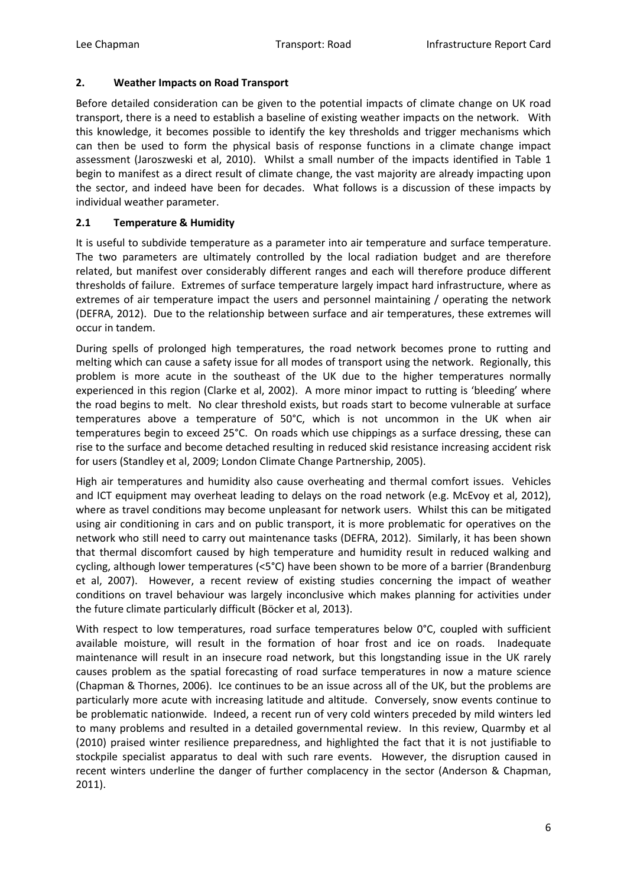#### **2. Weather Impacts on Road Transport**

Before detailed consideration can be given to the potential impacts of climate change on UK road transport, there is a need to establish a baseline of existing weather impacts on the network. With this knowledge, it becomes possible to identify the key thresholds and trigger mechanisms which can then be used to form the physical basis of response functions in a climate change impact assessment (Jaroszweski et al, 2010). Whilst a small number of the impacts identified in Table 1 begin to manifest as a direct result of climate change, the vast majority are already impacting upon the sector, and indeed have been for decades. What follows is a discussion of these impacts by individual weather parameter.

## **2.1 Temperature & Humidity**

It is useful to subdivide temperature as a parameter into air temperature and surface temperature. The two parameters are ultimately controlled by the local radiation budget and are therefore related, but manifest over considerably different ranges and each will therefore produce different thresholds of failure. Extremes of surface temperature largely impact hard infrastructure, where as extremes of air temperature impact the users and personnel maintaining / operating the network (DEFRA, 2012). Due to the relationship between surface and air temperatures, these extremes will occur in tandem.

During spells of prolonged high temperatures, the road network becomes prone to rutting and melting which can cause a safety issue for all modes of transport using the network. Regionally, this problem is more acute in the southeast of the UK due to the higher temperatures normally experienced in this region (Clarke et al, 2002). A more minor impact to rutting is 'bleeding' where the road begins to melt. No clear threshold exists, but roads start to become vulnerable at surface temperatures above a temperature of 50°C, which is not uncommon in the UK when air temperatures begin to exceed 25°C. On roads which use chippings as a surface dressing, these can rise to the surface and become detached resulting in reduced skid resistance increasing accident risk for users (Standley et al, 2009; London Climate Change Partnership, 2005).

High air temperatures and humidity also cause overheating and thermal comfort issues. Vehicles and ICT equipment may overheat leading to delays on the road network (e.g. McEvoy et al, 2012), where as travel conditions may become unpleasant for network users. Whilst this can be mitigated using air conditioning in cars and on public transport, it is more problematic for operatives on the network who still need to carry out maintenance tasks (DEFRA, 2012). Similarly, it has been shown that thermal discomfort caused by high temperature and humidity result in reduced walking and cycling, although lower temperatures (<5°C) have been shown to be more of a barrier (Brandenburg et al, 2007). However, a recent review of existing studies concerning the impact of weather conditions on travel behaviour was largely inconclusive which makes planning for activities under the future climate particularly difficult (Böcker et al, 2013).

With respect to low temperatures, road surface temperatures below 0°C, coupled with sufficient available moisture, will result in the formation of hoar frost and ice on roads. Inadequate maintenance will result in an insecure road network, but this longstanding issue in the UK rarely causes problem as the spatial forecasting of road surface temperatures in now a mature science (Chapman & Thornes, 2006). Ice continues to be an issue across all of the UK, but the problems are particularly more acute with increasing latitude and altitude. Conversely, snow events continue to be problematic nationwide. Indeed, a recent run of very cold winters preceded by mild winters led to many problems and resulted in a detailed governmental review. In this review, Quarmby et al (2010) praised winter resilience preparedness, and highlighted the fact that it is not justifiable to stockpile specialist apparatus to deal with such rare events. However, the disruption caused in recent winters underline the danger of further complacency in the sector (Anderson & Chapman, 2011).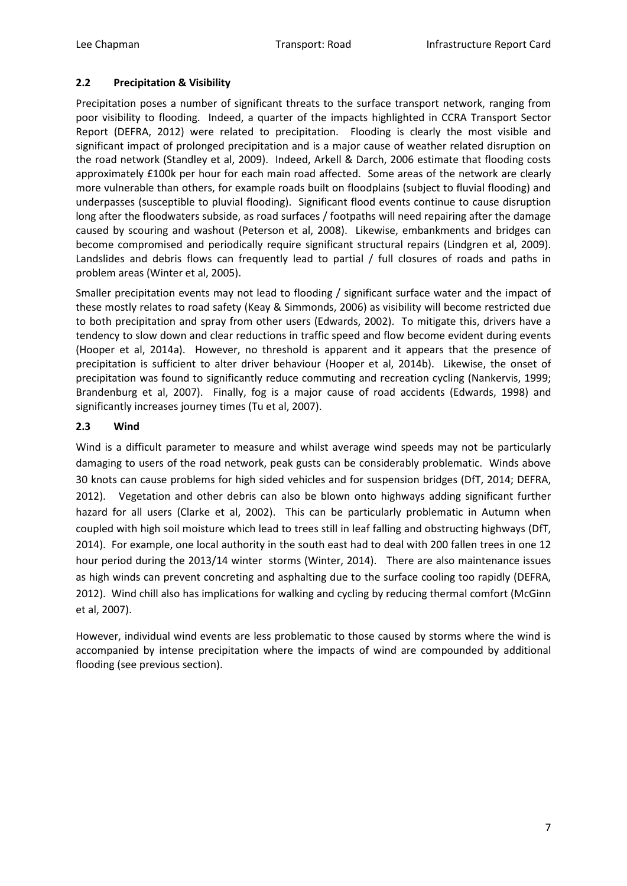## **2.2 Precipitation & Visibility**

Precipitation poses a number of significant threats to the surface transport network, ranging from poor visibility to flooding. Indeed, a quarter of the impacts highlighted in CCRA Transport Sector Report (DEFRA, 2012) were related to precipitation. Flooding is clearly the most visible and significant impact of prolonged precipitation and is a major cause of weather related disruption on the road network (Standley et al, 2009). Indeed, Arkell & Darch, 2006 estimate that flooding costs approximately £100k per hour for each main road affected. Some areas of the network are clearly more vulnerable than others, for example roads built on floodplains (subject to fluvial flooding) and underpasses (susceptible to pluvial flooding). Significant flood events continue to cause disruption long after the floodwaters subside, as road surfaces / footpaths will need repairing after the damage caused by scouring and washout (Peterson et al, 2008). Likewise, embankments and bridges can become compromised and periodically require significant structural repairs (Lindgren et al, 2009). Landslides and debris flows can frequently lead to partial / full closures of roads and paths in problem areas (Winter et al, 2005).

Smaller precipitation events may not lead to flooding / significant surface water and the impact of these mostly relates to road safety (Keay & Simmonds, 2006) as visibility will become restricted due to both precipitation and spray from other users (Edwards, 2002). To mitigate this, drivers have a tendency to slow down and clear reductions in traffic speed and flow become evident during events (Hooper et al, 2014a). However, no threshold is apparent and it appears that the presence of precipitation is sufficient to alter driver behaviour (Hooper et al, 2014b). Likewise, the onset of precipitation was found to significantly reduce commuting and recreation cycling (Nankervis, 1999; Brandenburg et al, 2007). Finally, fog is a major cause of road accidents (Edwards, 1998) and significantly increases journey times (Tu et al, 2007).

# **2.3 Wind**

Wind is a difficult parameter to measure and whilst average wind speeds may not be particularly damaging to users of the road network, peak gusts can be considerably problematic. Winds above 30 knots can cause problems for high sided vehicles and for suspension bridges (DfT, 2014; DEFRA, 2012). Vegetation and other debris can also be blown onto highways adding significant further hazard for all users (Clarke et al, 2002). This can be particularly problematic in Autumn when coupled with high soil moisture which lead to trees still in leaf falling and obstructing highways (DfT, 2014). For example, one local authority in the south east had to deal with 200 fallen trees in one 12 hour period during the 2013/14 winter storms (Winter, 2014). There are also maintenance issues as high winds can prevent concreting and asphalting due to the surface cooling too rapidly (DEFRA, 2012). Wind chill also has implications for walking and cycling by reducing thermal comfort (McGinn et al, 2007).

However, individual wind events are less problematic to those caused by storms where the wind is accompanied by intense precipitation where the impacts of wind are compounded by additional flooding (see previous section).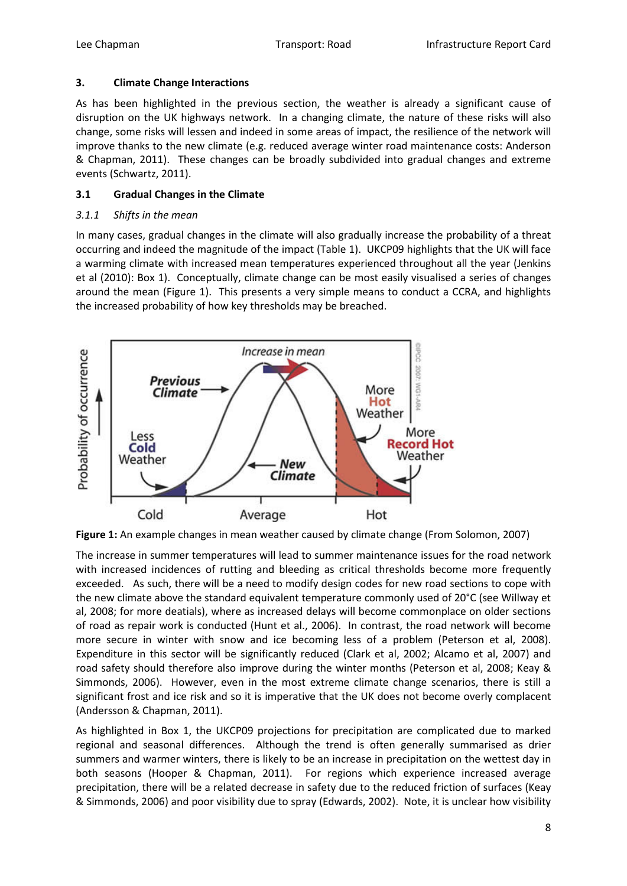# **3. Climate Change Interactions**

As has been highlighted in the previous section, the weather is already a significant cause of disruption on the UK highways network. In a changing climate, the nature of these risks will also change, some risks will lessen and indeed in some areas of impact, the resilience of the network will improve thanks to the new climate (e.g. reduced average winter road maintenance costs: Anderson & Chapman, 2011). These changes can be broadly subdivided into gradual changes and extreme events (Schwartz, 2011).

# **3.1 Gradual Changes in the Climate**

# *3.1.1 Shifts in the mean*

In many cases, gradual changes in the climate will also gradually increase the probability of a threat occurring and indeed the magnitude of the impact (Table 1). UKCP09 highlights that the UK will face a warming climate with increased mean temperatures experienced throughout all the year (Jenkins et al (2010): Box 1). Conceptually, climate change can be most easily visualised a series of changes around the mean (Figure 1). This presents a very simple means to conduct a CCRA, and highlights the increased probability of how key thresholds may be breached.



**Figure 1:** An example changes in mean weather caused by climate change (From Solomon, 2007)

The increase in summer temperatures will lead to summer maintenance issues for the road network with increased incidences of rutting and bleeding as critical thresholds become more frequently exceeded. As such, there will be a need to modify design codes for new road sections to cope with the new climate above the standard equivalent temperature commonly used of 20°C (see Willway et al, 2008; for more deatials), where as increased delays will become commonplace on older sections of road as repair work is conducted (Hunt et al., 2006). In contrast, the road network will become more secure in winter with snow and ice becoming less of a problem (Peterson et al, 2008). Expenditure in this sector will be significantly reduced (Clark et al, 2002; Alcamo et al, 2007) and road safety should therefore also improve during the winter months (Peterson et al, 2008; Keay & Simmonds, 2006). However, even in the most extreme climate change scenarios, there is still a significant frost and ice risk and so it is imperative that the UK does not become overly complacent (Andersson & Chapman, 2011).

As highlighted in Box 1, the UKCP09 projections for precipitation are complicated due to marked regional and seasonal differences. Although the trend is often generally summarised as drier summers and warmer winters, there is likely to be an increase in precipitation on the wettest day in both seasons (Hooper & Chapman, 2011). For regions which experience increased average precipitation, there will be a related decrease in safety due to the reduced friction of surfaces (Keay & Simmonds, 2006) and poor visibility due to spray (Edwards, 2002). Note, it is unclear how visibility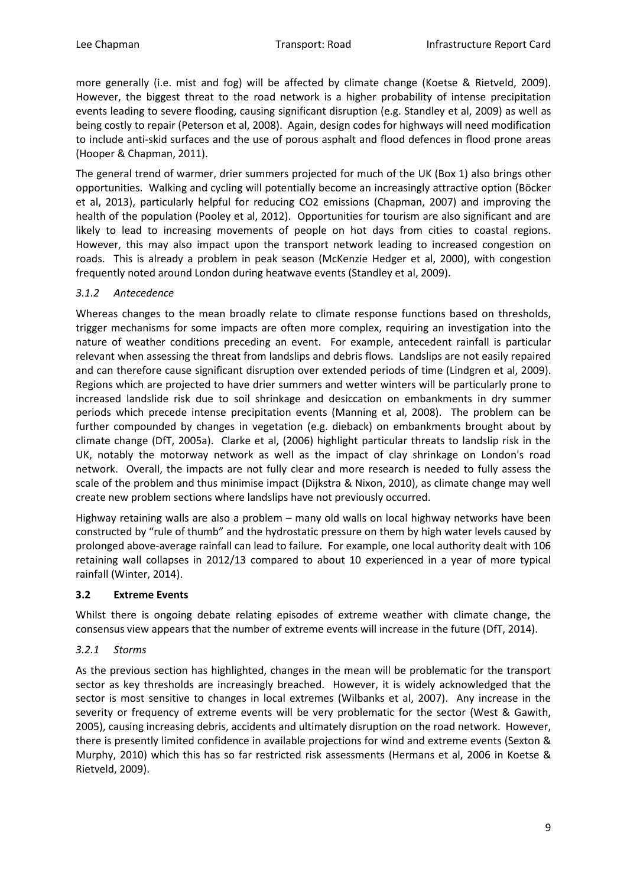more generally (i.e. mist and fog) will be affected by climate change (Koetse & Rietveld, 2009). However, the biggest threat to the road network is a higher probability of intense precipitation events leading to severe flooding, causing significant disruption (e.g. Standley et al, 2009) as well as being costly to repair (Peterson et al, 2008). Again, design codes for highways will need modification to include anti-skid surfaces and the use of porous asphalt and flood defences in flood prone areas (Hooper & Chapman, 2011).

The general trend of warmer, drier summers projected for much of the UK (Box 1) also brings other opportunities. Walking and cycling will potentially become an increasingly attractive option (Böcker et al, 2013), particularly helpful for reducing CO2 emissions (Chapman, 2007) and improving the health of the population (Pooley et al, 2012). Opportunities for tourism are also significant and are likely to lead to increasing movements of people on hot days from cities to coastal regions. However, this may also impact upon the transport network leading to increased congestion on roads. This is already a problem in peak season (McKenzie Hedger et al, 2000), with congestion frequently noted around London during heatwave events (Standley et al, 2009).

## *3.1.2 Antecedence*

Whereas changes to the mean broadly relate to climate response functions based on thresholds, trigger mechanisms for some impacts are often more complex, requiring an investigation into the nature of weather conditions preceding an event. For example, antecedent rainfall is particular relevant when assessing the threat from landslips and debris flows. Landslips are not easily repaired and can therefore cause significant disruption over extended periods of time (Lindgren et al, 2009). Regions which are projected to have drier summers and wetter winters will be particularly prone to increased landslide risk due to soil shrinkage and desiccation on embankments in dry summer periods which precede intense precipitation events (Manning et al, 2008). The problem can be further compounded by changes in vegetation (e.g. dieback) on embankments brought about by climate change (DfT, 2005a). Clarke et al, (2006) highlight particular threats to landslip risk in the UK, notably the motorway network as well as the impact of clay shrinkage on London's road network. Overall, the impacts are not fully clear and more research is needed to fully assess the scale of the problem and thus minimise impact (Dijkstra & Nixon, 2010), as climate change may well create new problem sections where landslips have not previously occurred.

Highway retaining walls are also a problem – many old walls on local highway networks have been constructed by "rule of thumb" and the hydrostatic pressure on them by high water levels caused by prolonged above-average rainfall can lead to failure. For example, one local authority dealt with 106 retaining wall collapses in 2012/13 compared to about 10 experienced in a year of more typical rainfall (Winter, 2014).

#### **3.2 Extreme Events**

Whilst there is ongoing debate relating episodes of extreme weather with climate change, the consensus view appears that the number of extreme events will increase in the future (DfT, 2014).

# *3.2.1 Storms*

As the previous section has highlighted, changes in the mean will be problematic for the transport sector as key thresholds are increasingly breached. However, it is widely acknowledged that the sector is most sensitive to changes in local extremes (Wilbanks et al, 2007). Any increase in the severity or frequency of extreme events will be very problematic for the sector (West & Gawith, 2005), causing increasing debris, accidents and ultimately disruption on the road network. However, there is presently limited confidence in available projections for wind and extreme events (Sexton & Murphy, 2010) which this has so far restricted risk assessments (Hermans et al, 2006 in Koetse & Rietveld, 2009).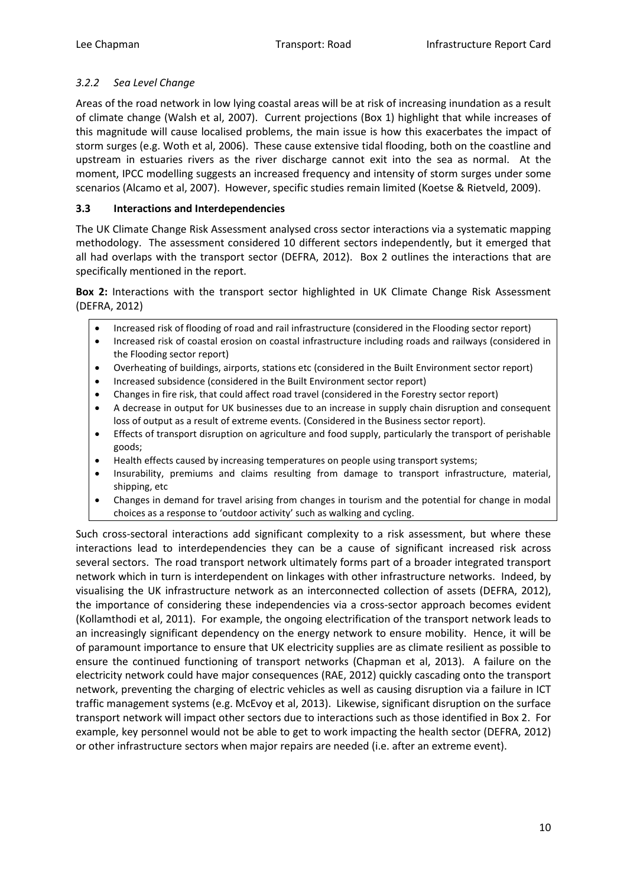## *3.2.2 Sea Level Change*

Areas of the road network in low lying coastal areas will be at risk of increasing inundation as a result of climate change (Walsh et al, 2007). Current projections (Box 1) highlight that while increases of this magnitude will cause localised problems, the main issue is how this exacerbates the impact of storm surges (e.g. Woth et al, 2006). These cause extensive tidal flooding, both on the coastline and upstream in estuaries rivers as the river discharge cannot exit into the sea as normal. At the moment, IPCC modelling suggests an increased frequency and intensity of storm surges under some scenarios (Alcamo et al, 2007). However, specific studies remain limited (Koetse & Rietveld, 2009).

# **3.3 Interactions and Interdependencies**

The UK Climate Change Risk Assessment analysed cross sector interactions via a systematic mapping methodology. The assessment considered 10 different sectors independently, but it emerged that all had overlaps with the transport sector (DEFRA, 2012). Box 2 outlines the interactions that are specifically mentioned in the report.

**Box 2:** Interactions with the transport sector highlighted in UK Climate Change Risk Assessment (DEFRA, 2012)

- Increased risk of flooding of road and rail infrastructure (considered in the Flooding sector report)
- Increased risk of coastal erosion on coastal infrastructure including roads and railways (considered in the Flooding sector report)
- Overheating of buildings, airports, stations etc (considered in the Built Environment sector report)
- Increased subsidence (considered in the Built Environment sector report)
- Changes in fire risk, that could affect road travel (considered in the Forestry sector report)
- A decrease in output for UK businesses due to an increase in supply chain disruption and consequent loss of output as a result of extreme events. (Considered in the Business sector report).
- Effects of transport disruption on agriculture and food supply, particularly the transport of perishable goods;
- Health effects caused by increasing temperatures on people using transport systems;
- Insurability, premiums and claims resulting from damage to transport infrastructure, material, shipping, etc
- Changes in demand for travel arising from changes in tourism and the potential for change in modal choices as a response to 'outdoor activity' such as walking and cycling.

Such cross-sectoral interactions add significant complexity to a risk assessment, but where these interactions lead to interdependencies they can be a cause of significant increased risk across several sectors. The road transport network ultimately forms part of a broader integrated transport network which in turn is interdependent on linkages with other infrastructure networks. Indeed, by visualising the UK infrastructure network as an interconnected collection of assets (DEFRA, 2012), the importance of considering these independencies via a cross-sector approach becomes evident (Kollamthodi et al, 2011). For example, the ongoing electrification of the transport network leads to an increasingly significant dependency on the energy network to ensure mobility. Hence, it will be of paramount importance to ensure that UK electricity supplies are as climate resilient as possible to ensure the continued functioning of transport networks (Chapman et al, 2013). A failure on the electricity network could have major consequences (RAE, 2012) quickly cascading onto the transport network, preventing the charging of electric vehicles as well as causing disruption via a failure in ICT traffic management systems (e.g. McEvoy et al, 2013). Likewise, significant disruption on the surface transport network will impact other sectors due to interactions such as those identified in Box 2. For example, key personnel would not be able to get to work impacting the health sector (DEFRA, 2012) or other infrastructure sectors when major repairs are needed (i.e. after an extreme event).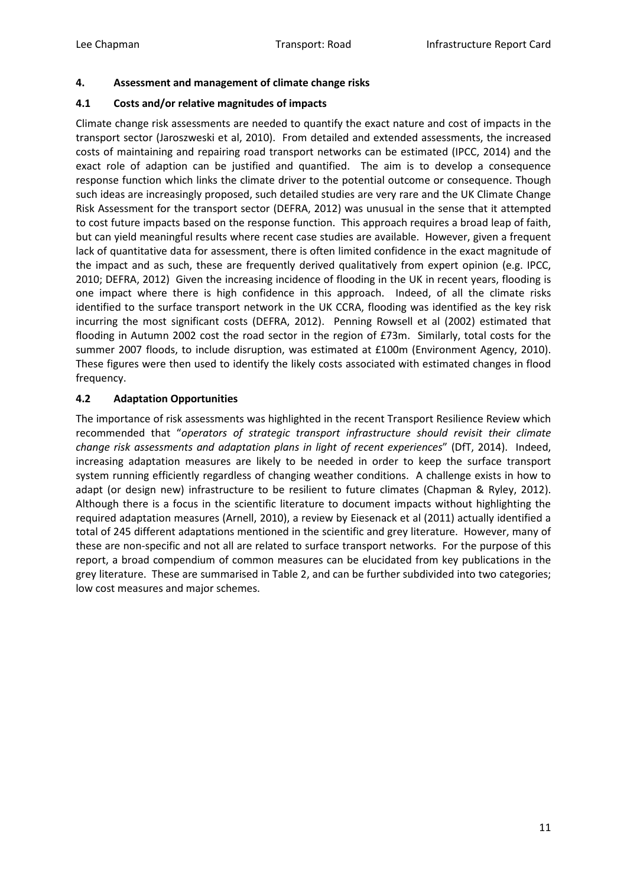## **4. Assessment and management of climate change risks**

## **4.1 Costs and/or relative magnitudes of impacts**

Climate change risk assessments are needed to quantify the exact nature and cost of impacts in the transport sector (Jaroszweski et al, 2010). From detailed and extended assessments, the increased costs of maintaining and repairing road transport networks can be estimated (IPCC, 2014) and the exact role of adaption can be justified and quantified. The aim is to develop a consequence response function which links the climate driver to the potential outcome or consequence. Though such ideas are increasingly proposed, such detailed studies are very rare and the UK Climate Change Risk Assessment for the transport sector (DEFRA, 2012) was unusual in the sense that it attempted to cost future impacts based on the response function. This approach requires a broad leap of faith, but can yield meaningful results where recent case studies are available. However, given a frequent lack of quantitative data for assessment, there is often limited confidence in the exact magnitude of the impact and as such, these are frequently derived qualitatively from expert opinion (e.g. IPCC, 2010; DEFRA, 2012) Given the increasing incidence of flooding in the UK in recent years, flooding is one impact where there is high confidence in this approach. Indeed, of all the climate risks identified to the surface transport network in the UK CCRA, flooding was identified as the key risk incurring the most significant costs (DEFRA, 2012). Penning Rowsell et al (2002) estimated that flooding in Autumn 2002 cost the road sector in the region of £73m. Similarly, total costs for the summer 2007 floods, to include disruption, was estimated at £100m (Environment Agency, 2010). These figures were then used to identify the likely costs associated with estimated changes in flood frequency.

# **4.2 Adaptation Opportunities**

The importance of risk assessments was highlighted in the recent Transport Resilience Review which recommended that "*operators of strategic transport infrastructure should revisit their climate change risk assessments and adaptation plans in light of recent experiences*" (DfT, 2014). Indeed, increasing adaptation measures are likely to be needed in order to keep the surface transport system running efficiently regardless of changing weather conditions. A challenge exists in how to adapt (or design new) infrastructure to be resilient to future climates (Chapman & Ryley, 2012). Although there is a focus in the scientific literature to document impacts without highlighting the required adaptation measures (Arnell, 2010), a review by Eiesenack et al (2011) actually identified a total of 245 different adaptations mentioned in the scientific and grey literature. However, many of these are non-specific and not all are related to surface transport networks. For the purpose of this report, a broad compendium of common measures can be elucidated from key publications in the grey literature. These are summarised in Table 2, and can be further subdivided into two categories; low cost measures and major schemes.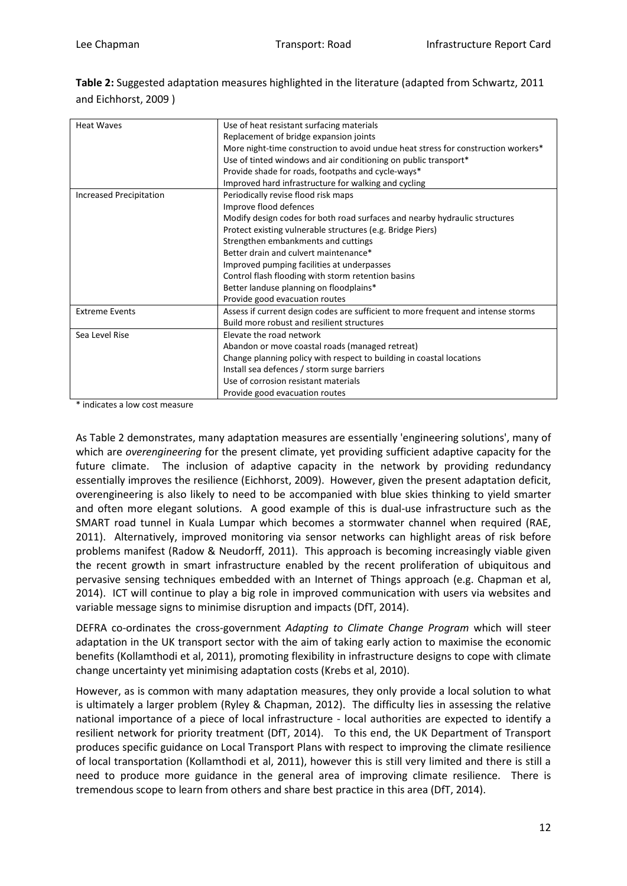**Table 2:** Suggested adaptation measures highlighted in the literature (adapted from Schwartz, 2011 and Eichhorst, 2009 )

| <b>Heat Waves</b>              | Use of heat resistant surfacing materials                                         |  |  |
|--------------------------------|-----------------------------------------------------------------------------------|--|--|
|                                | Replacement of bridge expansion joints                                            |  |  |
|                                | More night-time construction to avoid undue heat stress for construction workers* |  |  |
|                                | Use of tinted windows and air conditioning on public transport*                   |  |  |
|                                | Provide shade for roads, footpaths and cycle-ways*                                |  |  |
|                                | Improved hard infrastructure for walking and cycling                              |  |  |
| <b>Increased Precipitation</b> | Periodically revise flood risk maps                                               |  |  |
|                                | Improve flood defences                                                            |  |  |
|                                | Modify design codes for both road surfaces and nearby hydraulic structures        |  |  |
|                                | Protect existing vulnerable structures (e.g. Bridge Piers)                        |  |  |
|                                | Strengthen embankments and cuttings                                               |  |  |
|                                | Better drain and culvert maintenance*                                             |  |  |
|                                | Improved pumping facilities at underpasses                                        |  |  |
|                                | Control flash flooding with storm retention basins                                |  |  |
|                                | Better landuse planning on floodplains*                                           |  |  |
|                                | Provide good evacuation routes                                                    |  |  |
| <b>Extreme Events</b>          | Assess if current design codes are sufficient to more frequent and intense storms |  |  |
|                                | Build more robust and resilient structures                                        |  |  |
| Sea Level Rise                 | Elevate the road network                                                          |  |  |
|                                | Abandon or move coastal roads (managed retreat)                                   |  |  |
|                                | Change planning policy with respect to building in coastal locations              |  |  |
|                                | Install sea defences / storm surge barriers                                       |  |  |
|                                | Use of corrosion resistant materials                                              |  |  |
|                                | Provide good evacuation routes                                                    |  |  |

\* indicates a low cost measure

As Table 2 demonstrates, many adaptation measures are essentially 'engineering solutions', many of which are *overengineering* for the present climate, yet providing sufficient adaptive capacity for the future climate. The inclusion of adaptive capacity in the network by providing redundancy essentially improves the resilience (Eichhorst, 2009). However, given the present adaptation deficit, overengineering is also likely to need to be accompanied with blue skies thinking to yield smarter and often more elegant solutions. A good example of this is dual-use infrastructure such as the SMART road tunnel in Kuala Lumpar which becomes a stormwater channel when required (RAE, 2011). Alternatively, improved monitoring via sensor networks can highlight areas of risk before problems manifest (Radow & Neudorff, 2011). This approach is becoming increasingly viable given the recent growth in smart infrastructure enabled by the recent proliferation of ubiquitous and pervasive sensing techniques embedded with an Internet of Things approach (e.g. Chapman et al, 2014). ICT will continue to play a big role in improved communication with users via websites and variable message signs to minimise disruption and impacts (DfT, 2014).

DEFRA co-ordinates the cross-government *Adapting to Climate Change Program* which will steer adaptation in the UK transport sector with the aim of taking early action to maximise the economic benefits (Kollamthodi et al, 2011), promoting flexibility in infrastructure designs to cope with climate change uncertainty yet minimising adaptation costs (Krebs et al, 2010).

However, as is common with many adaptation measures, they only provide a local solution to what is ultimately a larger problem (Ryley & Chapman, 2012). The difficulty lies in assessing the relative national importance of a piece of local infrastructure - local authorities are expected to identify a resilient network for priority treatment (DfT, 2014). To this end, the UK Department of Transport produces specific guidance on Local Transport Plans with respect to improving the climate resilience of local transportation (Kollamthodi et al, 2011), however this is still very limited and there is still a need to produce more guidance in the general area of improving climate resilience. There is tremendous scope to learn from others and share best practice in this area (DfT, 2014).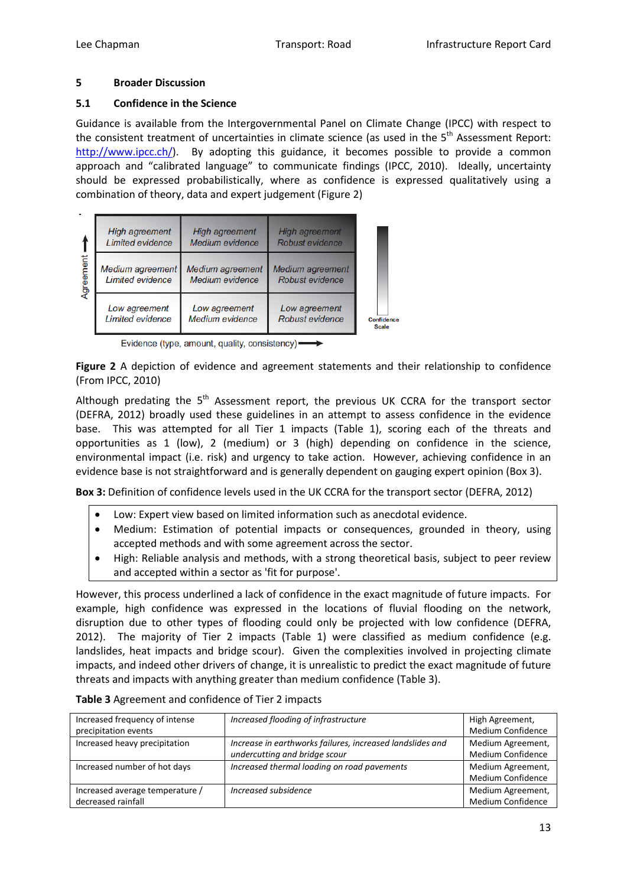## **5 Broader Discussion**

## **5.1 Confidence in the Science**

Guidance is available from the Intergovernmental Panel on Climate Change (IPCC) with respect to the consistent treatment of uncertainties in climate science (as used in the 5<sup>th</sup> Assessment Report: [http://www.ipcc.ch/\)](http://www.ipcc.ch/). By adopting this guidance, it becomes possible to provide a common approach and "calibrated language" to communicate findings (IPCC, 2010). Ideally, uncertainty should be expressed probabilistically, where as confidence is expressed qualitatively using a combination of theory, data and expert judgement (Figure 2)

|           | High agreement<br>Limited evidence          | High agreement<br>Medium evidence   | <b>High agreement</b><br>Robust evidence |                                   |
|-----------|---------------------------------------------|-------------------------------------|------------------------------------------|-----------------------------------|
| Agreement | Medium agreement<br><b>Limited evidence</b> | Medium agreement<br>Medium evidence | Medium agreement<br>Robust evidence      |                                   |
|           | Low agreement<br><b>Limited evidence</b>    | Low agreement<br>Medium evidence    | Low agreement<br>Robust evidence         | <b>Confidence</b><br><b>Scale</b> |

Evidence (type, amount, quality, consistency) ->

**Figure 2** A depiction of evidence and agreement statements and their relationship to confidence (From IPCC, 2010)

Although predating the  $5<sup>th</sup>$  Assessment report, the previous UK CCRA for the transport sector (DEFRA, 2012) broadly used these guidelines in an attempt to assess confidence in the evidence base. This was attempted for all Tier 1 impacts (Table 1), scoring each of the threats and opportunities as 1 (low), 2 (medium) or 3 (high) depending on confidence in the science, environmental impact (i.e. risk) and urgency to take action. However, achieving confidence in an evidence base is not straightforward and is generally dependent on gauging expert opinion (Box 3).

**Box 3:** Definition of confidence levels used in the UK CCRA for the transport sector (DEFRA, 2012)

- Low: Expert view based on limited information such as anecdotal evidence.
- Medium: Estimation of potential impacts or consequences, grounded in theory, using accepted methods and with some agreement across the sector.
- High: Reliable analysis and methods, with a strong theoretical basis, subject to peer review and accepted within a sector as 'fit for purpose'.

However, this process underlined a lack of confidence in the exact magnitude of future impacts. For example, high confidence was expressed in the locations of fluvial flooding on the network, disruption due to other types of flooding could only be projected with low confidence (DEFRA, 2012). The majority of Tier 2 impacts (Table 1) were classified as medium confidence (e.g. landslides, heat impacts and bridge scour). Given the complexities involved in projecting climate impacts, and indeed other drivers of change, it is unrealistic to predict the exact magnitude of future threats and impacts with anything greater than medium confidence (Table 3).

| Increased frequency of intense  | Increased flooding of infrastructure                      | High Agreement,   |
|---------------------------------|-----------------------------------------------------------|-------------------|
| precipitation events            |                                                           | Medium Confidence |
| Increased heavy precipitation   | Increase in earthworks failures, increased landslides and | Medium Agreement, |
|                                 | undercutting and bridge scour                             | Medium Confidence |
| Increased number of hot days    | Increased thermal loading on road pavements               | Medium Agreement, |
|                                 |                                                           | Medium Confidence |
| Increased average temperature / | Increased subsidence                                      | Medium Agreement, |
| decreased rainfall              |                                                           | Medium Confidence |

| Table 3 Agreement and confidence of Tier 2 impacts |  |  |  |
|----------------------------------------------------|--|--|--|
|----------------------------------------------------|--|--|--|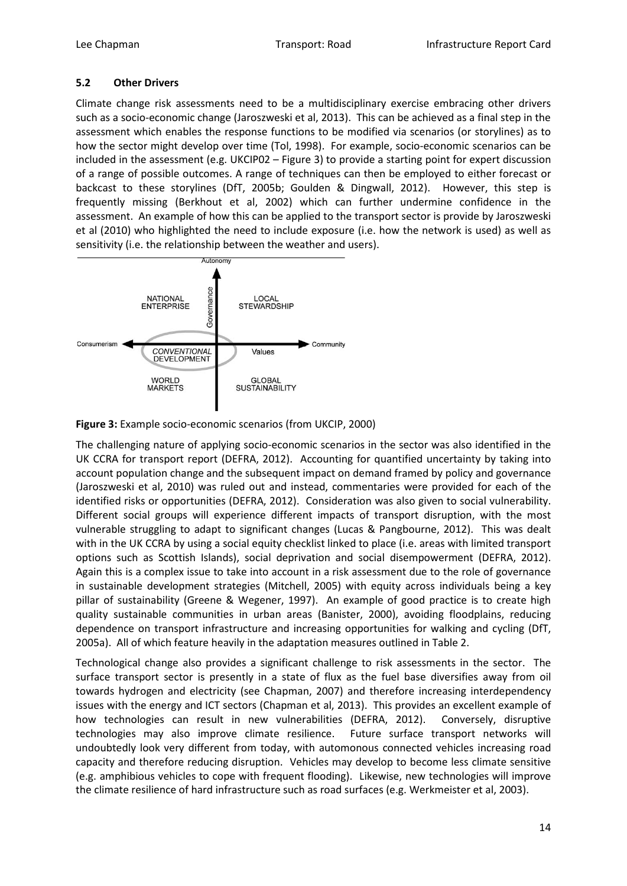#### **5.2 Other Drivers**

Climate change risk assessments need to be a multidisciplinary exercise embracing other drivers such as a socio-economic change (Jaroszweski et al, 2013). This can be achieved as a final step in the assessment which enables the response functions to be modified via scenarios (or storylines) as to how the sector might develop over time (Tol, 1998). For example, socio-economic scenarios can be included in the assessment (e.g. UKCIP02 – Figure 3) to provide a starting point for expert discussion of a range of possible outcomes. A range of techniques can then be employed to either forecast or backcast to these storylines (DfT, 2005b; Goulden & Dingwall, 2012). However, this step is frequently missing (Berkhout et al, 2002) which can further undermine confidence in the assessment. An example of how this can be applied to the transport sector is provide by Jaroszweski et al (2010) who highlighted the need to include exposure (i.e. how the network is used) as well as sensitivity (i.e. the relationship between the weather and users).





The challenging nature of applying socio-economic scenarios in the sector was also identified in the UK CCRA for transport report (DEFRA, 2012). Accounting for quantified uncertainty by taking into account population change and the subsequent impact on demand framed by policy and governance (Jaroszweski et al, 2010) was ruled out and instead, commentaries were provided for each of the identified risks or opportunities (DEFRA, 2012). Consideration was also given to social vulnerability. Different social groups will experience different impacts of transport disruption, with the most vulnerable struggling to adapt to significant changes (Lucas & Pangbourne, 2012). This was dealt with in the UK CCRA by using a social equity checklist linked to place (i.e. areas with limited transport options such as Scottish Islands), social deprivation and social disempowerment (DEFRA, 2012). Again this is a complex issue to take into account in a risk assessment due to the role of governance in sustainable development strategies (Mitchell, 2005) with equity across individuals being a key pillar of sustainability (Greene & Wegener, 1997). An example of good practice is to create high quality sustainable communities in urban areas (Banister, 2000), avoiding floodplains, reducing dependence on transport infrastructure and increasing opportunities for walking and cycling (DfT, 2005a). All of which feature heavily in the adaptation measures outlined in Table 2.

Technological change also provides a significant challenge to risk assessments in the sector. The surface transport sector is presently in a state of flux as the fuel base diversifies away from oil towards hydrogen and electricity (see Chapman, 2007) and therefore increasing interdependency issues with the energy and ICT sectors (Chapman et al, 2013). This provides an excellent example of how technologies can result in new vulnerabilities (DEFRA, 2012). Conversely, disruptive technologies may also improve climate resilience. Future surface transport networks will undoubtedly look very different from today, with automonous connected vehicles increasing road capacity and therefore reducing disruption. Vehicles may develop to become less climate sensitive (e.g. amphibious vehicles to cope with frequent flooding). Likewise, new technologies will improve the climate resilience of hard infrastructure such as road surfaces (e.g. Werkmeister et al, 2003).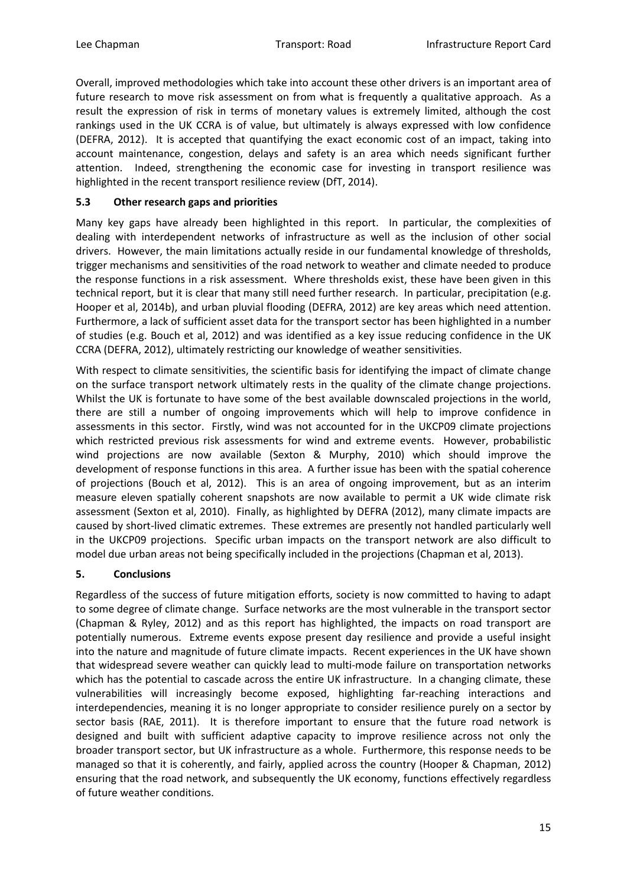Overall, improved methodologies which take into account these other drivers is an important area of future research to move risk assessment on from what is frequently a qualitative approach. As a result the expression of risk in terms of monetary values is extremely limited, although the cost rankings used in the UK CCRA is of value, but ultimately is always expressed with low confidence (DEFRA, 2012). It is accepted that quantifying the exact economic cost of an impact, taking into account maintenance, congestion, delays and safety is an area which needs significant further attention. Indeed, strengthening the economic case for investing in transport resilience was highlighted in the recent transport resilience review (DfT, 2014).

# **5.3 Other research gaps and priorities**

Many key gaps have already been highlighted in this report. In particular, the complexities of dealing with interdependent networks of infrastructure as well as the inclusion of other social drivers. However, the main limitations actually reside in our fundamental knowledge of thresholds, trigger mechanisms and sensitivities of the road network to weather and climate needed to produce the response functions in a risk assessment. Where thresholds exist, these have been given in this technical report, but it is clear that many still need further research. In particular, precipitation (e.g. Hooper et al, 2014b), and urban pluvial flooding (DEFRA, 2012) are key areas which need attention. Furthermore, a lack of sufficient asset data for the transport sector has been highlighted in a number of studies (e.g. Bouch et al, 2012) and was identified as a key issue reducing confidence in the UK CCRA (DEFRA, 2012), ultimately restricting our knowledge of weather sensitivities.

With respect to climate sensitivities, the scientific basis for identifying the impact of climate change on the surface transport network ultimately rests in the quality of the climate change projections. Whilst the UK is fortunate to have some of the best available downscaled projections in the world, there are still a number of ongoing improvements which will help to improve confidence in assessments in this sector. Firstly, wind was not accounted for in the UKCP09 climate projections which restricted previous risk assessments for wind and extreme events. However, probabilistic wind projections are now available (Sexton & Murphy, 2010) which should improve the development of response functions in this area. A further issue has been with the spatial coherence of projections (Bouch et al, 2012). This is an area of ongoing improvement, but as an interim measure eleven spatially coherent snapshots are now available to permit a UK wide climate risk assessment (Sexton et al, 2010). Finally, as highlighted by DEFRA (2012), many climate impacts are caused by short-lived climatic extremes. These extremes are presently not handled particularly well in the UKCP09 projections. Specific urban impacts on the transport network are also difficult to model due urban areas not being specifically included in the projections (Chapman et al, 2013).

# **5. Conclusions**

Regardless of the success of future mitigation efforts, society is now committed to having to adapt to some degree of climate change. Surface networks are the most vulnerable in the transport sector (Chapman & Ryley, 2012) and as this report has highlighted, the impacts on road transport are potentially numerous. Extreme events expose present day resilience and provide a useful insight into the nature and magnitude of future climate impacts. Recent experiences in the UK have shown that widespread severe weather can quickly lead to multi-mode failure on transportation networks which has the potential to cascade across the entire UK infrastructure. In a changing climate, these vulnerabilities will increasingly become exposed, highlighting far-reaching interactions and interdependencies, meaning it is no longer appropriate to consider resilience purely on a sector by sector basis (RAE, 2011). It is therefore important to ensure that the future road network is designed and built with sufficient adaptive capacity to improve resilience across not only the broader transport sector, but UK infrastructure as a whole. Furthermore, this response needs to be managed so that it is coherently, and fairly, applied across the country (Hooper & Chapman, 2012) ensuring that the road network, and subsequently the UK economy, functions effectively regardless of future weather conditions.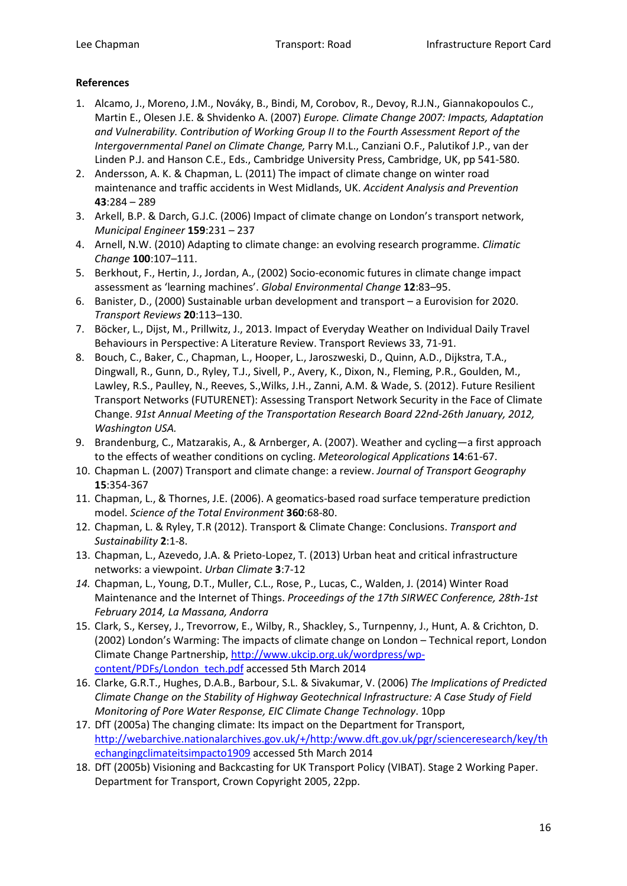# **References**

- 1. Alcamo, J., Moreno, J.M., Nováky, B., Bindi, M, Corobov, R., Devoy, R.J.N., Giannakopoulos C., Martin E., Olesen J.E. & Shvidenko A. (2007) *Europe. Climate Change 2007: Impacts, Adaptation and Vulnerability. Contribution of Working Group II to the Fourth Assessment Report of the Intergovernmental Panel on Climate Change,* Parry M.L., Canziani O.F., Palutikof J.P., van der Linden P.J. and Hanson C.E., Eds., Cambridge University Press, Cambridge, UK, pp 541-580.
- 2. Andersson, A. K. & Chapman, L. (2011) The impact of climate change on winter road maintenance and traffic accidents in West Midlands, UK. *Accident Analysis and Prevention* **43**:284 – 289
- 3. Arkell, B.P. & Darch, G.J.C. (2006) Impact of climate change on London's transport network, *Municipal Engineer* **159**:231 – 237
- 4. Arnell, N.W. (2010) Adapting to climate change: an evolving research programme. *Climatic Change* **100**:107–111.
- 5. Berkhout, F., Hertin, J., Jordan, A., (2002) Socio-economic futures in climate change impact assessment as 'learning machines'. *Global Environmental Change* **12**:83–95.
- 6. Banister, D., (2000) Sustainable urban development and transport a Eurovision for 2020. *Transport Reviews* **20**:113–130.
- 7. Böcker, L., Dijst, M., Prillwitz, J., 2013. Impact of Everyday Weather on Individual Daily Travel Behaviours in Perspective: A Literature Review. Transport Reviews 33, 71-91.
- 8. Bouch, C., Baker, C., Chapman, L., Hooper, L., Jaroszweski, D., Quinn, A.D., Dijkstra, T.A., Dingwall, R., Gunn, D., Ryley, T.J., Sivell, P., Avery, K., Dixon, N., Fleming, P.R., Goulden, M., Lawley, R.S., Paulley, N., Reeves, S.,Wilks, J.H., Zanni, A.M. & Wade, S. (2012). Future Resilient Transport Networks (FUTURENET): Assessing Transport Network Security in the Face of Climate Change. *91st Annual Meeting of the Transportation Research Board 22nd-26th January, 2012, Washington USA.*
- 9. Brandenburg, C., Matzarakis, A., & Arnberger, A. (2007). Weather and cycling—a first approach to the effects of weather conditions on cycling. *Meteorological Applications* **14**:61-67.
- 10. Chapman L. (2007) Transport and climate change: a review. *Journal of Transport Geography* **15**:354-367
- 11. Chapman, L., & Thornes, J.E. (2006). A geomatics-based road surface temperature prediction model. *Science of the Total Environment* **360**:68-80.
- 12. Chapman, L. & Ryley, T.R (2012). Transport & Climate Change: Conclusions. *Transport and Sustainability* **2**:1-8.
- 13. Chapman, L., Azevedo, J.A. & Prieto-Lopez, T. (2013) Urban heat and critical infrastructure networks: a viewpoint. *Urban Climate* **3**:7-12
- *14.* Chapman, L., Young, D.T., Muller, C.L., Rose, P., Lucas, C., Walden, J. (2014) Winter Road Maintenance and the Internet of Things. *Proceedings of the 17th SIRWEC Conference, 28th-1st February 2014, La Massana, Andorra*
- 15. Clark, S., Kersey, J., Trevorrow, E., Wilby, R., Shackley, S., Turnpenny, J., Hunt, A. & Crichton, D. (2002) London's Warming: The impacts of climate change on London – Technical report, London Climate Change Partnership, [http://www.ukcip.org.uk/wordpress/wp](http://www.ukcip.org.uk/wordpress/wp-content/PDFs/London_tech.pdf)[content/PDFs/London\\_tech.pdf](http://www.ukcip.org.uk/wordpress/wp-content/PDFs/London_tech.pdf) accessed 5th March 2014
- 16. Clarke, G.R.T., Hughes, D.A.B., Barbour, S.L. & Sivakumar, V. (2006) *The Implications of Predicted Climate Change on the Stability of Highway Geotechnical Infrastructure: A Case Study of Field Monitoring of Pore Water Response, EIC Climate Change Technology*. 10pp
- 17. DfT (2005a) The changing climate: Its impact on the Department for Transport, [http://webarchive.nationalarchives.gov.uk/+/http:/www.dft.gov.uk/pgr/scienceresearch/key/th](http://webarchive.nationalarchives.gov.uk/+/http:/www.dft.gov.uk/pgr/scienceresearch/key/thechangingclimateitsimpacto1909) [echangingclimateitsimpacto1909](http://webarchive.nationalarchives.gov.uk/+/http:/www.dft.gov.uk/pgr/scienceresearch/key/thechangingclimateitsimpacto1909) accessed 5th March 2014
- 18. DfT (2005b) Visioning and Backcasting for UK Transport Policy (VIBAT). Stage 2 Working Paper. Department for Transport, Crown Copyright 2005, 22pp.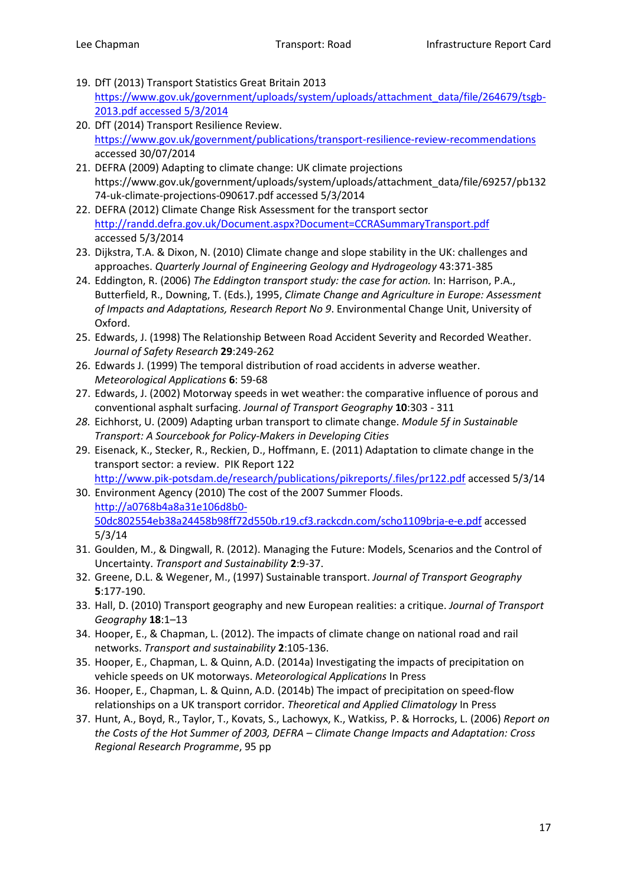- 19. DfT (2013) Transport Statistics Great Britain 2013 [https://www.gov.uk/government/uploads/system/uploads/attachment\\_data/file/264679/tsgb-](https://www.gov.uk/government/uploads/system/uploads/attachment_data/file/264679/tsgb-2013.pdf%20accessed%205/3/2014)2013.pdf [accessed 5/3/2014](https://www.gov.uk/government/uploads/system/uploads/attachment_data/file/264679/tsgb-2013.pdf%20accessed%205/3/2014)
- 20. DfT (2014) Transport Resilience Review. <https://www.gov.uk/government/publications/transport-resilience-review-recommendations> accessed 30/07/2014
- 21. DEFRA (2009) Adapting to climate change: UK climate projections [https://www.gov.uk/government/uploads/system/uploads/attachment\\_data/file/69257/pb132](https://www.gov.uk/government/uploads/system/uploads/attachment_data/file/69257/pb13274-uk-climate-projections-090617.pdf) [74-uk-climate-projections-090617.pdf](https://www.gov.uk/government/uploads/system/uploads/attachment_data/file/69257/pb13274-uk-climate-projections-090617.pdf) accessed 5/3/2014
- 22. DEFRA (2012) Climate Change Risk Assessment for the transport sector <http://randd.defra.gov.uk/Document.aspx?Document=CCRASummaryTransport.pdf> accessed 5/3/2014
- 23. Dijkstra, T.A. & Dixon, N. (2010) Climate change and slope stability in the UK: challenges and approaches. *Quarterly Journal of Engineering Geology and Hydrogeology* 43:371-385
- 24. Eddington, R. (2006) *The Eddington transport study: the case for action.* In: Harrison, P.A., Butterfield, R., Downing, T. (Eds.), 1995, *Climate Change and Agriculture in Europe: Assessment of Impacts and Adaptations, Research Report No 9*. Environmental Change Unit, University of Oxford.
- 25. Edwards, J. (1998) The Relationship Between Road Accident Severity and Recorded Weather. *Journal of Safety Research* **29**:249-262
- 26. Edwards J. (1999) The temporal distribution of road accidents in adverse weather. *Meteorological Applications* **6**: 59-68
- 27. Edwards, J. (2002) Motorway speeds in wet weather: the comparative influence of porous and conventional asphalt surfacing. *Journal of Transport Geography* **10**:303 - 311
- *28.* Eichhorst, U. (2009) Adapting urban transport to climate change. *Module 5f in Sustainable Transport: A Sourcebook for Policy-Makers in Developing Cities*
- 29. Eisenack, K., Stecker, R., Reckien, D., Hoffmann, E. (2011) Adaptation to climate change in the transport sector: a review. PIK Report 122 <http://www.pik-potsdam.de/research/publications/pikreports/.files/pr122.pdf> accessed 5/3/14
- 30. Environment Agency (2010) The cost of the 2007 Summer Floods. [http://a0768b4a8a31e106d8b0-](http://a0768b4a8a31e106d8b0-50dc802554eb38a24458b98ff72d550b.r19.cf3.rackcdn.com/scho1109brja-e-e.pdf) [50dc802554eb38a24458b98ff72d550b.r19.cf3.rackcdn.com/scho1109brja-e-e.pdf](http://a0768b4a8a31e106d8b0-50dc802554eb38a24458b98ff72d550b.r19.cf3.rackcdn.com/scho1109brja-e-e.pdf) accessed 5/3/14
- 31. Goulden, M., & Dingwall, R. (2012). Managing the Future: Models, Scenarios and the Control of Uncertainty. *Transport and Sustainability* **2**:9-37.
- 32. Greene, D.L. & Wegener, M., (1997) Sustainable transport. *Journal of Transport Geography* **5**:177-190.
- 33. Hall, D. (2010) Transport geography and new European realities: a critique. *Journal of Transport Geography* **18**:1–13
- 34. Hooper, E., & Chapman, L. (2012). The impacts of climate change on national road and rail networks. *Transport and sustainability* **2**:105-136.
- 35. Hooper, E., Chapman, L. & Quinn, A.D. (2014a) Investigating the impacts of precipitation on vehicle speeds on UK motorways. *Meteorological Applications* In Press
- 36. Hooper, E., Chapman, L. & Quinn, A.D. (2014b) The impact of precipitation on speed-flow relationships on a UK transport corridor. *Theoretical and Applied Climatology* In Press
- 37. Hunt, A., Boyd, R., Taylor, T., Kovats, S., Lachowyx, K., Watkiss, P. & Horrocks, L. (2006) *Report on the Costs of the Hot Summer of 2003, DEFRA – Climate Change Impacts and Adaptation: Cross Regional Research Programme*, 95 pp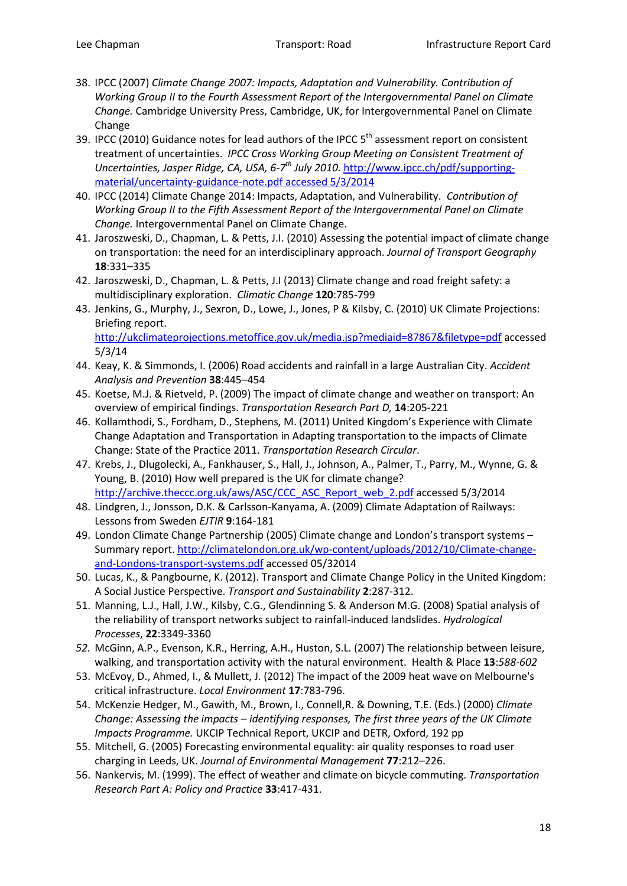- 38. IPCC (2007) *Climate Change 2007: Impacts, Adaptation and Vulnerability. Contribution of Working Group II to the Fourth Assessment Report of the Intergovernmental Panel on Climate Change.* Cambridge University Press, Cambridge, UK, for Intergovernmental Panel on Climate Change
- 39. IPCC (2010) Guidance notes for lead authors of the IPCC 5<sup>th</sup> assessment report on consistent treatment of uncertainties. *IPCC Cross Working Group Meeting on Consistent Treatment of Uncertainties, Jasper Ridge, CA, USA, 6-7th July 2010.* [http://www.ipcc.ch/pdf/supporting](http://www.ipcc.ch/pdf/supporting-material/uncertainty-guidance-note.pdf%20accessed%205/3/2014)[material/uncertainty-guidance-note.pdf accessed 5/3/2014](http://www.ipcc.ch/pdf/supporting-material/uncertainty-guidance-note.pdf%20accessed%205/3/2014)
- 40. IPCC (2014) Climate Change 2014: Impacts, Adaptation, and Vulnerability. *Contribution of Working Group II to the Fifth Assessment Report of the Intergovernmental Panel on Climate Change.* Intergovernmental Panel on Climate Change.
- 41. Jaroszweski, D., Chapman, L. & Petts, J.I. (2010) Assessing the potential impact of climate change on transportation: the need for an interdisciplinary approach. *Journal of Transport Geography* **18**:331–335
- 42. Jaroszweski, D., Chapman, L. & Petts, J.I (2013) Climate change and road freight safety: a multidisciplinary exploration. *Climatic Change* **120**:785-799
- 43. Jenkins, G., Murphy, J., Sexron, D., Lowe, J., Jones, P & Kilsby, C. (2010) UK Climate Projections: Briefing report. <http://ukclimateprojections.metoffice.gov.uk/media.jsp?mediaid=87867&filetype=pdf> accessed 5/3/14
- 44. Keay, K. & Simmonds, I. (2006) Road accidents and rainfall in a large Australian City. *Accident Analysis and Prevention* **38**:445–454
- 45. Koetse, M.J. & Rietveld, P. (2009) The impact of climate change and weather on transport: An overview of empirical findings. *Transportation Research Part D,* **14**:205-221
- 46. Kollamthodi, S., Fordham, D., Stephens, M. (2011) United Kingdom's Experience with Climate Change Adaptation and Transportation in Adapting transportation to the impacts of Climate Change: State of the Practice 2011. *Transportation Research Circular*.
- 47. Krebs, J., Dlugolecki, A., Fankhauser, S., Hall, J., Johnson, A., Palmer, T., Parry, M., Wynne, G. & Young, B. (2010) How well prepared is the UK for climate change? [http://archive.theccc.org.uk/aws/ASC/CCC\\_ASC\\_Report\\_web\\_2.pdf](http://archive.theccc.org.uk/aws/ASC/CCC_ASC_Report_web_2.pdf) accessed 5/3/2014
- 48. Lindgren, J., Jonsson, D.K. & Carlsson-Kanyama, A. (2009) Climate Adaptation of Railways: Lessons from Sweden *EJTIR* **9**:164-181
- 49. London Climate Change Partnership (2005) Climate change and London's transport systems -Summary report[. http://climatelondon.org.uk/wp-content/uploads/2012/10/Climate-change](http://climatelondon.org.uk/wp-content/uploads/2012/10/Climate-change-and-Londons-transport-systems.pdf)[and-Londons-transport-systems.pdf](http://climatelondon.org.uk/wp-content/uploads/2012/10/Climate-change-and-Londons-transport-systems.pdf) accessed 05/32014
- 50. Lucas, K., & Pangbourne, K. (2012). Transport and Climate Change Policy in the United Kingdom: A Social Justice Perspective. *Transport and Sustainability* **2**:287-312.
- 51. Manning, L.J., Hall, J.W., Kilsby, C.G., Glendinning S. & Anderson M.G. (2008) Spatial analysis of the reliability of transport networks subject to rainfall-induced landslides. *Hydrological Processes*, **22**:3349-3360
- *52.* McGinn, A.P., Evenson, K.R., Herring, A.H., Huston, S.L. (2007) The relationship between leisure, walking, and transportation activity with the natural environment. Health & Place **13**:*588-602*
- 53. McEvoy, D., Ahmed, I., & Mullett, J. (2012) The impact of the 2009 heat wave on Melbourne's critical infrastructure. *Local Environment* **17**:783-796.
- 54. McKenzie Hedger, M., Gawith, M., Brown, I., Connell,R. & Downing, T.E. (Eds.) (2000) *Climate Change: Assessing the impacts – identifying responses, The first three years of the UK Climate Impacts Programme.* UKCIP Technical Report, UKCIP and DETR, Oxford, 192 pp
- 55. Mitchell, G. (2005) Forecasting environmental equality: air quality responses to road user charging in Leeds, UK. *Journal of Environmental Management* **77**:212–226.
- 56. Nankervis, M. (1999). The effect of weather and climate on bicycle commuting. *Transportation Research Part A: Policy and Practice* **33**:417-431.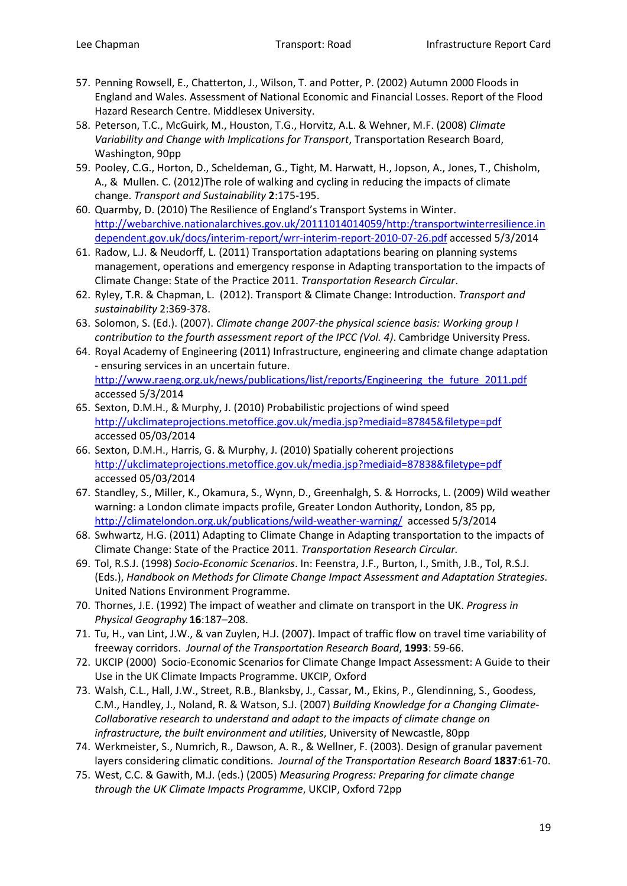- 57. Penning Rowsell, E., Chatterton, J., Wilson, T. and Potter, P. (2002) Autumn 2000 Floods in England and Wales. Assessment of National Economic and Financial Losses. Report of the Flood Hazard Research Centre. Middlesex University.
- 58. Peterson, T.C., McGuirk, M., Houston, T.G., Horvitz, A.L. & Wehner, M.F. (2008) *Climate Variability and Change with Implications for Transport*, Transportation Research Board, Washington, 90pp
- 59. Pooley, C.G., Horton, D., Scheldeman, G., Tight, M. Harwatt, H., Jopson, A., Jones, T., Chisholm, A., & Mullen. C. (2012)The role of walking and cycling in reducing the impacts of climate change. *Transport and Sustainability* **2**:175-195.
- 60. Quarmby, D. (2010) The Resilience of England's Transport Systems in Winter. [http://webarchive.nationalarchives.gov.uk/20111014014059/http:/transportwinterresilience.in](http://webarchive.nationalarchives.gov.uk/20111014014059/http:/transportwinterresilience.independent.gov.uk/docs/interim-report/wrr-interim-report-2010-07-26.pdf) [dependent.gov.uk/docs/interim-report/wrr-interim-report-2010-07-26.pdf](http://webarchive.nationalarchives.gov.uk/20111014014059/http:/transportwinterresilience.independent.gov.uk/docs/interim-report/wrr-interim-report-2010-07-26.pdf) accessed 5/3/2014
- 61. Radow, L.J. & Neudorff, L. (2011) Transportation adaptations bearing on planning systems management, operations and emergency response in Adapting transportation to the impacts of Climate Change: State of the Practice 2011. *Transportation Research Circular*.
- 62. Ryley, T.R. & Chapman, L. (2012). Transport & Climate Change: Introduction. *Transport and sustainability* 2:369-378.
- 63. Solomon, S. (Ed.). (2007). *Climate change 2007-the physical science basis: Working group I contribution to the fourth assessment report of the IPCC (Vol. 4)*. Cambridge University Press.
- 64. Royal Academy of Engineering (2011) Infrastructure, engineering and climate change adaptation - ensuring services in an uncertain future. http://www.raeng.org.uk/news/publications/list/reports/Engineering the future 2011.pdf accessed 5/3/2014
- 65. Sexton, D.M.H., & Murphy, J. (2010) Probabilistic projections of wind speed <http://ukclimateprojections.metoffice.gov.uk/media.jsp?mediaid=87845&filetype=pdf> accessed 05/03/2014
- 66. Sexton, D.M.H., Harris, G. & Murphy, J. (2010) Spatially coherent projections [http://ukclimateprojections.metoffice.gov.uk/media.jsp?mediaid=87838&filetype=pdf](http://ukclimateprojections.metoffice.gov.uk/media.jsp?mediaid=87838&filetype=pdfa) accessed 05/03/2014
- 67. Standley, S., Miller, K., Okamura, S., Wynn, D., Greenhalgh, S. & Horrocks, L. (2009) Wild weather warning: a London climate impacts profile, Greater London Authority, London, 85 pp, <http://climatelondon.org.uk/publications/wild-weather-warning/> accessed 5/3/2014
- 68. Swhwartz, H.G. (2011) Adapting to Climate Change in Adapting transportation to the impacts of Climate Change: State of the Practice 2011. *Transportation Research Circular.*
- 69. Tol, R.S.J. (1998) *Socio-Economic Scenarios*. In: Feenstra, J.F., Burton, I., Smith, J.B., Tol, R.S.J. (Eds.), *Handbook on Methods for Climate Change Impact Assessment and Adaptation Strategies*. United Nations Environment Programme.
- 70. Thornes, J.E. (1992) The impact of weather and climate on transport in the UK. *Progress in Physical Geography* **16**:187–208.
- 71. Tu, H., van Lint, J.W., & van Zuylen, H.J. (2007). Impact of traffic flow on travel time variability of freeway corridors. *Journal of the Transportation Research Board*, **1993**: 59-66.
- 72. UKCIP (2000) Socio-Economic Scenarios for Climate Change Impact Assessment: A Guide to their Use in the UK Climate Impacts Programme. UKCIP, Oxford
- 73. Walsh, C.L., Hall, J.W., Street, R.B., Blanksby, J., Cassar, M., Ekins, P., Glendinning, S., Goodess, C.M., Handley, J., Noland, R. & Watson, S.J. (2007) *Building Knowledge for a Changing Climate-Collaborative research to understand and adapt to the impacts of climate change on infrastructure, the built environment and utilities*, University of Newcastle, 80pp
- 74. Werkmeister, S., Numrich, R., Dawson, A. R., & Wellner, F. (2003). Design of granular pavement layers considering climatic conditions. *Journal of the Transportation Research Board* **1837**:61-70.
- 75. West, C.C. & Gawith, M.J. (eds.) (2005) *Measuring Progress: Preparing for climate change through the UK Climate Impacts Programme*, UKCIP, Oxford 72pp